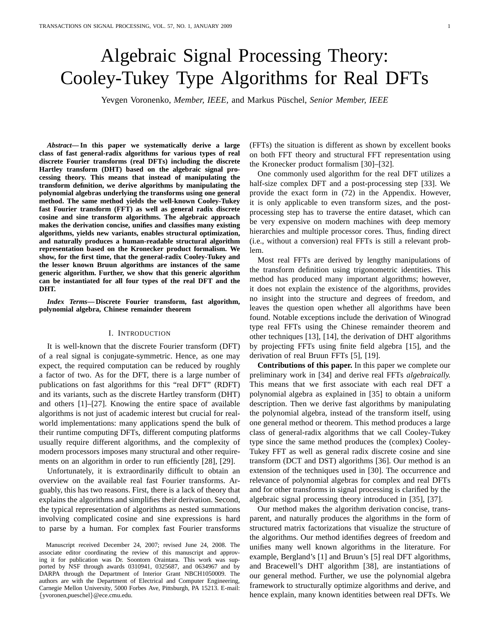# Algebraic Signal Processing Theory: Cooley-Tukey Type Algorithms for Real DFTs

Yevgen Voronenko, Member, IEEE, and Markus Püschel, Senior Member, IEEE

*Abstract***— In this paper we systematically derive a large class of fast general-radix algorithms for various types of real discrete Fourier transforms (real DFTs) including the discrete Hartley transform (DHT) based on the algebraic signal processing theory. This means that instead of manipulating the transform definition, we derive algorithms by manipulating the polynomial algebras underlying the transforms using one general method. The same method yields the well-known Cooley-Tukey fast Fourier transform (FFT) as well as general radix discrete cosine and sine transform algorithms. The algebraic approach makes the derivation concise, unifies and classifies many existing algorithms, yields new variants, enables structural optimization, and naturally produces a human-readable structural algorithm representation based on the Kronecker product formalism. We show, for the first time, that the general-radix Cooley-Tukey and the lesser known Bruun algorithms are instances of the same generic algorithm. Further, we show that this generic algorithm can be instantiated for all four types of the real DFT and the DHT.**

*Index Terms***— Discrete Fourier transform, fast algorithm, polynomial algebra, Chinese remainder theorem**

# I. INTRODUCTION

It is well-known that the discrete Fourier transform (DFT) of a real signal is conjugate-symmetric. Hence, as one may expect, the required computation can be reduced by roughly a factor of two. As for the DFT, there is a large number of publications on fast algorithms for this "real DFT" (RDFT) and its variants, such as the discrete Hartley transform (DHT) and others [1]–[27]. Knowing the entire space of available algorithms is not just of academic interest but crucial for realworld implementations: many applications spend the bulk of their runtime computing DFTs, different computing platforms usually require different algorithms, and the complexity of modern processors imposes many structural and other requirements on an algorithm in order to run efficiently [28], [29].

Unfortunately, it is extraordinarily difficult to obtain an overview on the available real fast Fourier transforms. Arguably, this has two reasons. First, there is a lack of theory that explains the algorithms and simplifies their derivation. Second, the typical representation of algorithms as nested summations involving complicated cosine and sine expressions is hard to parse by a human. For complex fast Fourier transforms

(FFTs) the situation is different as shown by excellent books on both FFT theory and structural FFT representation using the Kronecker product formalism [30]–[32].

One commonly used algorithm for the real DFT utilizes a half-size complex DFT and a post-processing step [33]. We provide the exact form in (72) in the Appendix. However, it is only applicable to even transform sizes, and the postprocessing step has to traverse the entire dataset, which can be very expensive on modern machines with deep memory hierarchies and multiple processor cores. Thus, finding direct (i.e., without a conversion) real FFTs is still a relevant problem.

Most real FFTs are derived by lengthy manipulations of the transform definition using trigonometric identities. This method has produced many important algorithms; however, it does not explain the existence of the algorithms, provides no insight into the structure and degrees of freedom, and leaves the question open whether all algorithms have been found. Notable exceptions include the derivation of Winograd type real FFTs using the Chinese remainder theorem and other techniques [13], [14], the derivation of DHT algorithms by projecting FFTs using finite field algebra [15], and the derivation of real Bruun FFTs [5], [19].

**Contributions of this paper.** In this paper we complete our preliminary work in [34] and derive real FFTs *algebraically.* This means that we first associate with each real DFT a polynomial algebra as explained in [35] to obtain a uniform description. Then we derive fast algorithms by manipulating the polynomial algebra, instead of the transform itself, using one general method or theorem. This method produces a large class of general-radix algorithms that we call Cooley-Tukey type since the same method produces the (complex) Cooley-Tukey FFT as well as general radix discrete cosine and sine transform (DCT and DST) algorithms [36]. Our method is an extension of the techniques used in [30]. The occurrence and relevance of polynomial algebras for complex and real DFTs and for other transforms in signal processing is clarified by the algebraic signal processing theory introduced in [35], [37].

Our method makes the algorithm derivation concise, transparent, and naturally produces the algorithms in the form of structured matrix factorizations that visualize the structure of the algorithms. Our method identifies degrees of freedom and unifies many well known algorithms in the literature. For example, Bergland's [1] and Bruun's [5] real DFT algorithms, and Bracewell's DHT algorithm [38], are instantiations of our general method. Further, we use the polynomial algebra framework to structurally optimize algorithms and derive, and hence explain, many known identities between real DFTs. We

Manuscript received December 24, 2007; revised June 24, 2008. The associate editor coordinating the review of this manuscript and approving it for publication was Dr. Soontorn Oraintara. This work was supported by NSF through awards 0310941, 0325687, and 0634967 and by DARPA through the Department of Interior Grant NBCH1050009. The authors are with the Department of Electrical and Computer Engineering, Carnegie Mellon University, 5000 Forbes Ave, Pittsburgh, PA 15213. E-mail: {yvoronen,pueschel}@ece.cmu.edu.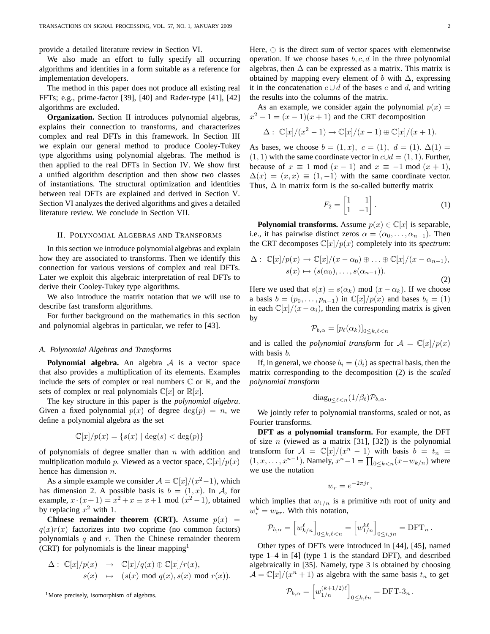provide a detailed literature review in Section VI.

We also made an effort to fully specify all occurring algorithms and identities in a form suitable as a reference for implementation developers.

The method in this paper does not produce all existing real FFTs; e.g., prime-factor [39], [40] and Rader-type [41], [42] algorithms are excluded.

**Organization.** Section II introduces polynomial algebras, explains their connection to transforms, and characterizes complex and real DFTs in this framework. In Section III we explain our general method to produce Cooley-Tukey type algorithms using polynomial algebras. The method is then applied to the real DFTs in Section IV. We show first a unified algorithm description and then show two classes of instantiations. The structural optimization and identities between real DFTs are explained and derived in Section V. Section VI analyzes the derived algorithms and gives a detailed literature review. We conclude in Section VII.

# II. POLYNOMIAL ALGEBRAS AND TRANSFORMS

In this section we introduce polynomial algebras and explain how they are associated to transforms. Then we identify this connection for various versions of complex and real DFTs. Later we exploit this algebraic interpretation of real DFTs to derive their Cooley-Tukey type algorithms.

We also introduce the matrix notation that we will use to describe fast transform algorithms.

For further background on the mathematics in this section and polynomial algebras in particular, we refer to [43].

#### *A. Polynomial Algebras and Transforms*

**Polynomial algebra.** An algebra A is a vector space that also provides a multiplication of its elements. Examples include the sets of complex or real numbers  $\mathbb C$  or  $\mathbb R$ , and the sets of complex or real polynomials  $\mathbb{C}[x]$  or  $\mathbb{R}[x]$ .

The key structure in this paper is the *polynomial algebra*. Given a fixed polynomial  $p(x)$  of degree  $deg(p) = n$ , we define a polynomial algebra as the set

$$
\mathbb{C}[x]/p(x) = \{s(x) \mid \deg(s) < \deg(p)\}
$$

of polynomials of degree smaller than  $n$  with addition and multiplication modulo p. Viewed as a vector space,  $\mathbb{C}[x]/p(x)$ hence has dimension  $n$ .

As a simple example we consider  $A = \mathbb{C}[x]/(x^2-1)$ , which has dimension 2. A possible basis is  $b = (1, x)$ . In A, for example,  $x \cdot (x+1) = x^2 + x \equiv x+1 \mod (x^2-1)$ , obtained by replacing  $x^2$  with 1.

**Chinese remainder theorem (CRT).** Assume  $p(x)$  =  $q(x)r(x)$  factorizes into two coprime (no common factors) polynomials  $q$  and  $r$ . Then the Chinese remainder theorem (CRT) for polynomials is the linear mapping<sup>1</sup>

$$
\Delta: \mathbb{C}[x]/p(x) \rightarrow \mathbb{C}[x]/q(x) \oplus \mathbb{C}[x]/r(x),
$$
  

$$
s(x) \mapsto (s(x) \bmod q(x), s(x) \bmod r(x)).
$$

<sup>1</sup>More precisely, isomorphism of algebras.

Here,  $\oplus$  is the direct sum of vector spaces with elementwise operation. If we choose bases  $b, c, d$  in the three polynomial algebras, then  $\Delta$  can be expressed as a matrix. This matrix is obtained by mapping every element of b with  $\Delta$ , expressing it in the concatenation  $c \cup d$  of the bases c and d, and writing the results into the columns of the matrix.

As an example, we consider again the polynomial  $p(x) =$  $x^2 - 1 = (x - 1)(x + 1)$  and the CRT decomposition

$$
\Delta: \ \mathbb{C}[x]/(x^2-1) \to \mathbb{C}[x]/(x-1) \oplus \mathbb{C}[x]/(x+1).
$$

As bases, we choose  $b = (1, x)$ ,  $c = (1)$ ,  $d = (1)$ .  $\Delta(1) =$  $(1, 1)$  with the same coordinate vector in  $c \cup d = (1, 1)$ . Further, because of  $x \equiv 1 \mod (x - 1)$  and  $x \equiv -1 \mod (x + 1)$ ,  $\Delta(x) = (x, x) \equiv (1, -1)$  with the same coordinate vector. Thus,  $\Delta$  in matrix form is the so-called butterfly matrix

$$
F_2 = \begin{bmatrix} 1 & 1 \\ 1 & -1 \end{bmatrix} . \tag{1}
$$

**Polynomial transforms.** Assume  $p(x) \in \mathbb{C}[x]$  is separable, i.e., it has pairwise distinct zeros  $\alpha = (\alpha_0, \dots, \alpha_{n-1})$ . Then the CRT decomposes  $\mathbb{C}[x]/p(x)$  completely into its *spectrum*:

$$
\Delta: \mathbb{C}[x]/p(x) \to \mathbb{C}[x]/(x - \alpha_0) \oplus \ldots \oplus \mathbb{C}[x]/(x - \alpha_{n-1}),
$$
  

$$
s(x) \mapsto (s(\alpha_0), \ldots, s(\alpha_{n-1})).
$$
 (2)

Here we used that  $s(x) \equiv s(\alpha_k) \mod (x - \alpha_k)$ . If we choose a basis  $b = (p_0, \ldots, p_{n-1})$  in  $\mathbb{C}[x]/p(x)$  and bases  $b_i = (1)$ in each  $\mathbb{C}[x]/(x-\alpha_i)$ , then the corresponding matrix is given by

$$
\mathcal{P}_{b,\alpha} = [p_{\ell}(\alpha_k)]_{0 \le k,\ell < n}
$$

and is called the *polynomial transform* for  $A = \mathbb{C}[x]/p(x)$ with basis  $b$ .

If, in general, we choose  $b_i = (\beta_i)$  as spectral basis, then the matrix corresponding to the decomposition (2) is the *scaled polynomial transform*

$$
\mathrm{diag}_{0 \leq \ell < n} (1/\beta_\ell) \mathcal{P}_{b,\alpha}.
$$

We jointly refer to polynomial transforms, scaled or not, as Fourier transforms.

**DFT as a polynomial transform.** For example, the DFT of size  $n$  (viewed as a matrix [31], [32]) is the polynomial transform for  $A = \mathbb{C}[x]/(x^n - 1)$  with basis  $b = t_n =$  $(1, x, \dots, x^{n-1})$ . Namely,  $x^n - 1 = \prod_{0 \le k < n} (x - w_{k/n})$  where we use the notation

$$
w_r = e^{-2\pi jr},
$$

which implies that  $w_{1/n}$  is a primitive nth root of unity and  $w_r^k = w_{kr}$ . With this notation,

$$
\mathcal{P}_{b,\alpha} = \left[w_{k/n}^{\ell}\right]_{0 \le k,\ell < n} = \left[w_{1/n}^{k\ell}\right]_{0 \le i,jn} = \text{DFT}_n \,.
$$

Other types of DFTs were introduced in [44], [45], named type 1–4 in [4] (type 1 is the standard DFT), and described algebraically in [35]. Namely, type 3 is obtained by choosing  $\mathcal{A} = \mathbb{C}[x]/(x^n + 1)$  as algebra with the same basis  $t_n$  to get

$$
\mathcal{P}_{b,\alpha} = \left[w_{1/n}^{(k+1/2)\ell}\right]_{0 \leq k,\ell n} = \text{DFT-3}_n.
$$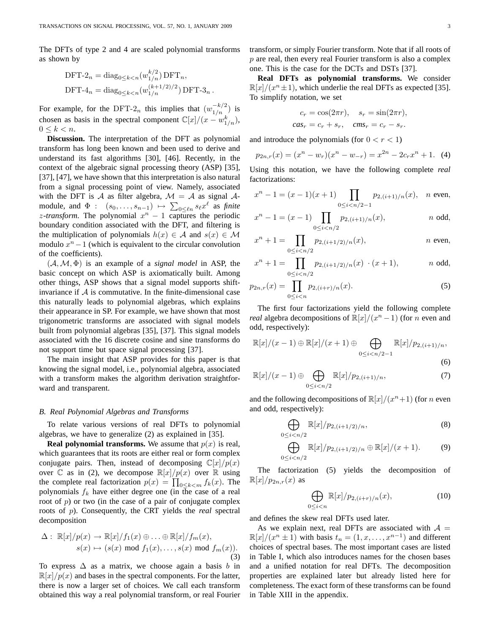The DFTs of type 2 and 4 are scaled polynomial transforms as shown by

$$
\text{DFT-2}_{n} = \text{diag}_{0 \le k < n} (w_{1/n}^{k/2}) \text{DFT}_{n},
$$
\n
$$
\text{DFT-4}_{n} = \text{diag}_{0 \le k < n} (w_{1/n}^{(k+1/2)/2}) \text{DFT-3}_{n}.
$$

For example, for the DFT- $2<sub>n</sub>$  this implies that  $(w_{1/n}^{-k/2})$  is chosen as basis in the spectral component  $\mathbb{C}[x]/(x-w_{1/n}^k)$ ,  $0 \leq k < n$ .

**Discussion.** The interpretation of the DFT as polynomial transform has long been known and been used to derive and understand its fast algorithms [30], [46]. Recently, in the context of the algebraic signal processing theory (ASP) [35], [37], [47], we have shown that this interpretation is also natural from a signal processing point of view. Namely, associated with the DFT is A as filter algebra,  $\mathcal{M} = \mathcal{A}$  as signal  $\mathcal{A}$ module, and  $\Phi$  :  $(s_0, \ldots, s_{n-1}) \mapsto \sum_{0 \leq \ell n} s_{\ell} x^{\ell}$  as *finite z*-transform. The polynomial  $x^n - 1$  captures the periodic boundary condition associated with the DFT, and filtering is the multiplication of polynomials  $h(x) \in A$  and  $s(x) \in M$ modulo  $x^n - 1$  (which is equivalent to the circular convolution of the coefficients).

(A,M, Φ) is an example of a *signal model* in ASP, the basic concept on which ASP is axiomatically built. Among other things, ASP shows that a signal model supports shiftinvariance if  $A$  is commutative. In the finite-dimensional case this naturally leads to polynomial algebras, which explains their appearance in SP. For example, we have shown that most trigonometric transforms are associated with signal models built from polynomial algebras [35], [37]. This signal models associated with the 16 discrete cosine and sine transforms do not support time but space signal processing [37].

The main insight that ASP provides for this paper is that knowing the signal model, i.e., polynomial algebra, associated with a transform makes the algorithm derivation straightforward and transparent.

#### *B. Real Polynomial Algebras and Transforms*

To relate various versions of real DFTs to polynomial algebras, we have to generalize (2) as explained in [35].

**Real polynomial transforms.** We assume that  $p(x)$  is real, which guarantees that its roots are either real or form complex conjugate pairs. Then, instead of decomposing  $\mathbb{C}[x]/p(x)$ over C as in (2), we decompose  $\mathbb{R}[x]/p(x)$  over R using the complete real factorization  $p(x) = \prod_{0 \le k \le m} f_k(x)$ . The polynomials  $f_k$  have either degree one (in the case of a real root of  $p$ ) or two (in the case of a pair of conjugate complex roots of p). Consequently, the CRT yields the *real* spectral decomposition

$$
\Delta: \mathbb{R}[x]/p(x) \to \mathbb{R}[x]/f_1(x) \oplus \ldots \oplus \mathbb{R}[x]/f_m(x),
$$
  

$$
s(x) \mapsto (s(x) \mod f_1(x), \ldots, s(x) \mod f_m(x)).
$$
  
(3)

To express  $\Delta$  as a matrix, we choose again a basis b in  $\mathbb{R}[x]/p(x)$  and bases in the spectral components. For the latter, there is now a larger set of choices. We call each transform obtained this way a real polynomial transform, or real Fourier transform, or simply Fourier transform. Note that if all roots of p are real, then every real Fourier transform is also a complex one. This is the case for the DCTs and DSTs [37].

**Real DFTs as polynomial transforms.** We consider  $\mathbb{R}[x]/(x^n \pm 1)$ , which underlie the real DFTs as expected [35]. To simplify notation, we set

$$
c_r = \cos(2\pi r), \quad s_r = \sin(2\pi r),
$$
  

$$
cas_r = c_r + s_r, \quad cms_r = c_r - s_r.
$$

and introduce the polynomials (for  $0 < r < 1$ )

$$
p_{2n,r}(x) = (x^n - w_r)(x^n - w_{-r}) = x^{2n} - 2c_rx^n + 1.
$$
 (4)

Using this notation, we have the following complete *real* factorizations:

$$
x^{n} - 1 = (x - 1)(x + 1) \prod_{0 \le i < n/2 - 1} p_{2,(i+1)/n}(x), \quad n \text{ even},
$$

$$
x^{n} - 1 = (x - 1) \prod_{0 \le i < n/2} p_{2,(i+1)/n}(x), \qquad n \text{ odd},
$$

$$
x^{n} + 1 = \prod_{0 \le i < n/2} p_{2,(i+1/2)/n}(x), \qquad n \text{ even},
$$

$$
x^{n} + 1 = \prod_{0 \leq i < n/2} p_{2,(i+1/2)/n}(x) \cdot (x+1), \quad n \text{ odd},
$$

$$
p_{2n,r}(x) = \prod_{0 \le i < n} p_{2,(i+r)/n}(x). \tag{5}
$$

The first four factorizations yield the following complete *real* algebra decompositions of  $\mathbb{R}[x]/(x^n - 1)$  (for *n* even and odd, respectively):

$$
\mathbb{R}[x]/(x-1) \oplus \mathbb{R}[x]/(x+1) \oplus \bigoplus_{0 \le i < n/2 - 1} \mathbb{R}[x]/p_{2,(i+1)/n},\tag{6}
$$

$$
\mathbb{R}[x]/(x-1) \oplus \bigoplus_{0 \le i < n/2} \mathbb{R}[x]/p_{2,(i+1)/n},\tag{7}
$$

and the following decompositions of  $\mathbb{R}[x]/(x^n+1)$  (for n even and odd, respectively):

$$
\bigoplus_{0 \le i < n/2} \mathbb{R}[x]/p_{2,(i+1/2)/n},\tag{8}
$$

$$
\bigoplus_{0 \le i < n/2} \mathbb{R}[x]/p_{2,(i+1/2)/n} \oplus \mathbb{R}[x]/(x+1). \tag{9}
$$

The factorization (5) yields the decomposition of  $\mathbb{R}[x]/p_{2n,r}(x)$  as

$$
\bigoplus_{0 \le i < n} \mathbb{R}[x]/p_{2,(i+r)/n}(x),\tag{10}
$$

and defines the skew real DFTs used later.

As we explain next, real DFTs are associated with  $A =$  $\mathbb{R}[x]/(x^n \pm 1)$  with basis  $t_n = (1, x, \dots, x^{n-1})$  and different choices of spectral bases. The most important cases are listed in Table I, which also introduces names for the chosen bases and a unified notation for real DFTs. The decomposition properties are explained later but already listed here for completeness. The exact form of these transforms can be found in Table XIII in the appendix.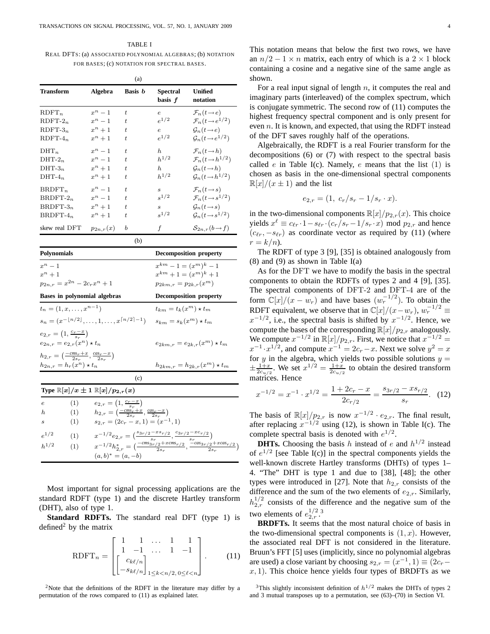TABLE I REAL DFTS: (a) ASSOCIATED POLYNOMIAL ALGEBRAS; (b) NOTATION FOR BASES; (c) NOTATION FOR SPECTRAL BASES.

| (a)                                                                              |                                      |                                                                             |                               |                                                                                                                                                                                                                                                                                                                                                                         |  |
|----------------------------------------------------------------------------------|--------------------------------------|-----------------------------------------------------------------------------|-------------------------------|-------------------------------------------------------------------------------------------------------------------------------------------------------------------------------------------------------------------------------------------------------------------------------------------------------------------------------------------------------------------------|--|
| <b>Transform</b>                                                                 | Algebra                              | <b>Basis</b> <i>b</i>                                                       | <b>Spectral</b><br>basis f    | Unified<br>notation                                                                                                                                                                                                                                                                                                                                                     |  |
| $R$ DFT $_n$                                                                     | $x^n-1$                              | $\boldsymbol{t}$                                                            | $\boldsymbol{e}$              | $\mathcal{F}_n(t\rightarrow e)$                                                                                                                                                                                                                                                                                                                                         |  |
| $R$ DFT- $2n$                                                                    | $x^n-1$                              | $\scriptstyle t$                                                            | $e^{1/2}$                     | $\mathcal{F}_n(t\rightarrow e^{1/2})$                                                                                                                                                                                                                                                                                                                                   |  |
| $R$ DFT-3 <sub>n</sub>                                                           | $x^n + 1$                            | $\scriptstyle t$                                                            | $\,e\,$                       | $\mathcal{G}_n(t\rightarrow e)$                                                                                                                                                                                                                                                                                                                                         |  |
| $R$ DFT-4 $n$                                                                    | $x^n + 1$                            | $\scriptstyle t$                                                            | $e^{1/2}$                     | $\mathcal{G}_n(t\rightarrow e^{1/2})$                                                                                                                                                                                                                                                                                                                                   |  |
| $\text{DHT}_n$                                                                   | $x^n-1$                              | $\bar{t}$                                                                   | $\boldsymbol{h}$              | $\mathcal{F}_n(t\!\to\!h)$                                                                                                                                                                                                                                                                                                                                              |  |
| $\text{DHT-}2_n$                                                                 | $x^n-1$                              | $\bar{t}$                                                                   | $h^{1/2}$                     | $\mathcal{F}_n(t\!\to\!h^{1/2})$                                                                                                                                                                                                                                                                                                                                        |  |
| $\text{DHT-}3_n$                                                                 | $x^n + 1$                            | $\scriptstyle t$                                                            | $\boldsymbol{h}$              | $\mathcal{G}_n(t\rightarrow h)$                                                                                                                                                                                                                                                                                                                                         |  |
| $\text{DHT-}4_n$                                                                 | $x^n + 1$                            | $\scriptstyle t$                                                            | $h^{1/2}$                     | $\mathcal{G}_n(t\rightarrow h^{1/2})$                                                                                                                                                                                                                                                                                                                                   |  |
| $B\text{RDFT}_n$                                                                 | $x^n-1$                              | $\boldsymbol{t}$                                                            | $\boldsymbol{s}$              | $\mathcal{F}_n(t\rightarrow s)$                                                                                                                                                                                                                                                                                                                                         |  |
| $BRDFT-2n$                                                                       | $x^n-1$                              | $\scriptstyle t$                                                            | $s^{1/2}$                     | $\mathcal{F}_n(t\rightarrow s^{1/2})$                                                                                                                                                                                                                                                                                                                                   |  |
| $BRDFT-3n$                                                                       | $x^n + 1$                            | $\scriptstyle t$                                                            | $\boldsymbol{s}$              | $\mathcal{G}_n(t\rightarrow s)$                                                                                                                                                                                                                                                                                                                                         |  |
| $B\text{RDFT-}4_n$                                                               | $x^n+1$                              | $\scriptstyle t$                                                            | $s^{1/2}$                     | $\mathcal{G}_n(t\rightarrow s^{1/2})$                                                                                                                                                                                                                                                                                                                                   |  |
| skew real DFT                                                                    | $p_{2n,r}(x)$                        | b                                                                           | f                             | $S_{2n,r}(b\rightarrow f)$                                                                                                                                                                                                                                                                                                                                              |  |
|                                                                                  |                                      | (b)                                                                         |                               |                                                                                                                                                                                                                                                                                                                                                                         |  |
| Polynomials                                                                      |                                      |                                                                             |                               | <b>Decomposition property</b>                                                                                                                                                                                                                                                                                                                                           |  |
| $x^n-1$                                                                          |                                      |                                                                             |                               | $x^{km} - 1 = (x^m)^k - 1$                                                                                                                                                                                                                                                                                                                                              |  |
| $x^n + 1$                                                                        |                                      |                                                                             |                               | $x^{km} + 1 = (x^m)^k + 1$                                                                                                                                                                                                                                                                                                                                              |  |
| $p_{2n,r} = x^{2n} - 2c_rx^n + 1$                                                |                                      |                                                                             | $p_{2km,r} = p_{2k,r}(x^m)$   |                                                                                                                                                                                                                                                                                                                                                                         |  |
| Bases in polynomial algebras                                                     |                                      |                                                                             |                               | <b>Decomposition property</b>                                                                                                                                                                                                                                                                                                                                           |  |
| $t_n = (1, x, \ldots, x^{n-1})$                                                  |                                      |                                                                             | $t_{km} = t_k(x^m) \star t_m$ |                                                                                                                                                                                                                                                                                                                                                                         |  |
| $s_n = (x^{-\lfloor n/2 \rfloor}, \ldots, 1, \ldots, x^{\lceil n/2 \rceil - 1})$ |                                      |                                                                             | $s_{km} = s_k(x^m) \star t_m$ |                                                                                                                                                                                                                                                                                                                                                                         |  |
| $e_{2,r} = (1, \frac{c_r - x}{s_r})$                                             |                                      |                                                                             |                               |                                                                                                                                                                                                                                                                                                                                                                         |  |
| $e_{2n,r} = e_{2,r}(x^n) \star t_n$                                              |                                      |                                                                             |                               | $e_{2km,r}=e_{2k,r}(x^m)\star t_m$                                                                                                                                                                                                                                                                                                                                      |  |
| $h_{2,r} = \left(\frac{-cms_r + x}{2s_r}, \frac{cas_r - x}{2s_r}\right)$         |                                      |                                                                             |                               |                                                                                                                                                                                                                                                                                                                                                                         |  |
| $h_{2n,r} = h_r(x^n) \star t_n$                                                  |                                      |                                                                             |                               | $h_{2km,r} = h_{2k,r}(x^m) * t_m$                                                                                                                                                                                                                                                                                                                                       |  |
|                                                                                  |                                      | (c)                                                                         |                               |                                                                                                                                                                                                                                                                                                                                                                         |  |
| Type $\mathbb{R}[x]/x \pm 1 \mathbb{R}[x]/p_{2,r}(x)$                            |                                      |                                                                             |                               |                                                                                                                                                                                                                                                                                                                                                                         |  |
| (1)<br>$\boldsymbol{e}$                                                          | $e_{2,r} = (1, \frac{c_r - x}{s_r})$ |                                                                             |                               |                                                                                                                                                                                                                                                                                                                                                                         |  |
| (1)<br>$\boldsymbol{h}$                                                          |                                      | $h_{2,r} = \left(\frac{-cm_{r}+x}{2s_{r}}, \frac{cas_{r}-x}{2s_{r}}\right)$ |                               |                                                                                                                                                                                                                                                                                                                                                                         |  |
| (1)<br>$\boldsymbol{s}$                                                          |                                      | $s_{2,r} = (2c_r - x, 1) = (x^{-1}, 1)$                                     |                               |                                                                                                                                                                                                                                                                                                                                                                         |  |
| $e^{1/2}$<br>(1)                                                                 |                                      |                                                                             |                               |                                                                                                                                                                                                                                                                                                                                                                         |  |
| $h^{1/2}$<br>(1)                                                                 |                                      |                                                                             |                               | $\begin{array}{l} {x^{ - 1/2} e_{2,r} = {{\left( {\frac{{{s_{3r/2} - x{s_{r/2}}}}{{{s_r}}},\frac{{{c_{3r/2} - x{c_{r/2}}}}{{{s_r}}}}} \right)}\over {{x^{ - 1/2}}h_{2,r}^*} = {{\left( {\frac{{\left( {-ms_{3r/2} + x{cms_{r/2}}},\frac{{{ - c{as_{3r/2} + x{cas_{r/2}}}}} }} \right)}}{{2s_r}}},\frac{{{ - c{as_{3r/2} + x{cas_{r/2}}}}} \right)}}{2s_r}} \end{array}$ |  |
|                                                                                  | $(a,b)^* = (a,-b)$                   |                                                                             |                               |                                                                                                                                                                                                                                                                                                                                                                         |  |

Most important for signal processing applications are the standard RDFT (type 1) and the discrete Hartley transform (DHT), also of type 1.

**Standard RDFTs.** The standard real DFT (type 1) is defined<sup>2</sup> by the matrix

$$
R\text{DFT}_n = \begin{bmatrix} 1 & 1 & \dots & 1 & 1 \\ 1 & -1 & \dots & 1 & -1 \\ \begin{bmatrix} c_{k\ell/n} \\ -s_{k\ell/n} \end{bmatrix}_{1 \le k < n/2, 0 \le \ell < n} \end{bmatrix} . \tag{11}
$$

<sup>2</sup>Note that the definitions of the RDFT in the literature may differ by a permutation of the rows compared to (11) as explained later.

This notation means that below the first two rows, we have an  $n/2 - 1 \times n$  matrix, each entry of which is a  $2 \times 1$  block containing a cosine and a negative sine of the same angle as shown.

For a real input signal of length  $n$ , it computes the real and imaginary parts (interleaved) of the complex spectrum, which is conjugate symmetric. The second row of (11) computes the highest frequency spectral component and is only present for even  $n$ . It is known, and expected, that using the RDFT instead of the DFT saves roughly half of the operations.

Algebraically, the RDFT is a real Fourier transform for the decompositions (6) or (7) with respect to the spectral basis called e in Table I(c). Namely, e means that the list  $(1)$  is chosen as basis in the one-dimensional spectral components  $\mathbb{R}[x]/(x \pm 1)$  and the list

$$
e_{2,r} = (1, c_r/s_r - 1/s_r \cdot x).
$$

in the two-dimensional components  $\mathbb{R}[x]/p_{2,r}(x)$ . This choice yields  $x^{\ell} \equiv c_{\ell r} \cdot 1 - s_{\ell r} \cdot (c_r/s_r - 1/s_r \cdot x) \mod p_{2,r}$  and hence  $(c_{\ell r}, -s_{\ell r})$  as coordinate vector as required by (11) (where  $r = k/n$ ).

The RDFT of type 3 [9], [35] is obtained analogously from  $(8)$  and  $(9)$  as shown in Table I(a)

As for the DFT we have to modify the basis in the spectral components to obtain the RDFTs of types 2 and 4 [9], [35]. The spectral components of DFT-2 and DFT-4 are of the form  $\mathbb{C}[x]/(x-w_r)$  and have bases  $(w_r^{-1/2})$ . To obtain the RDFT equivalent, we observe that in  $\mathbb{C}[x]/(x-w_r)$ ,  $w_r^{-1/2} \equiv$  $x^{-1/2}$ , i.e., the spectral basis is shifted by  $x^{-1/2}$ . Hence, we compute the bases of the corresponding  $\mathbb{R}[x]/p_{2,r}$  analogously. We compute  $x^{-1/2}$  in  $\mathbb{R}[x]/p_{2,r}$ . First, we notice that  $x^{-1/2} =$  $x^{-1} \cdot x^{1/2}$ , and compute  $x^{-1} = 2c_r - x$ . Next we solve  $y^2 = x$ for y in the algebra, which yields two possible solutions  $y =$  $\pm \frac{1+x}{2c_{u/2}}$ . We set  $x^{1/2} = \frac{1+x}{2c_{u/2}}$  to obtain the desired transform matrices. Hence

$$
x^{-1/2} = x^{-1} \cdot x^{1/2} = \frac{1 + 2c_r - x}{2c_{r/2}} = \frac{s_{3r/2} - xs_{r/2}}{s_r}.
$$
 (12)

The basis of  $\mathbb{R}[x]/p_{2,r}$  is now  $x^{-1/2} \cdot e_{2,r}$ . The final result, after replacing  $x^{-1/2}$  using (12), is shown in Table I(c). The complete spectral basis is denoted with  $e^{1/2}$ .

**DHTs.** Choosing the basis h instead of e and  $h^{1/2}$  instead of  $e^{1/2}$  [see Table I(c)] in the spectral components yields the well-known discrete Hartley transforms (DHTs) of types 1– 4. "The" DHT is type 1 and due to [38], [48]; the other types were introduced in [27]. Note that  $h_{2,r}$  consists of the difference and the sum of the two elements of  $e_{2,r}$ . Similarly,  $h_{2,r}^{1/2}$  consists of the difference and the negative sum of the two elements of  $e_{2,r}^{1/2}$ .<sup>3</sup>

**BRDFTs.** It seems that the most natural choice of basis in the two-dimensional spectral components is  $(1, x)$ . However, the associated real DFT is not considered in the literature. Bruun's FFT [5] uses (implicitly, since no polynomial algebras are used) a close variant by choosing  $s_{2,r} = (x^{-1}, 1) \equiv (2c_r$  $x, 1$ ). This choice hence yields four types of BRDFTs as we

<sup>&</sup>lt;sup>3</sup>This slightly inconsistent definition of  $h^{1/2}$  makes the DHTs of types 2 and 3 mutual transposes up to a permutation, see (63)–(70) in Section VI.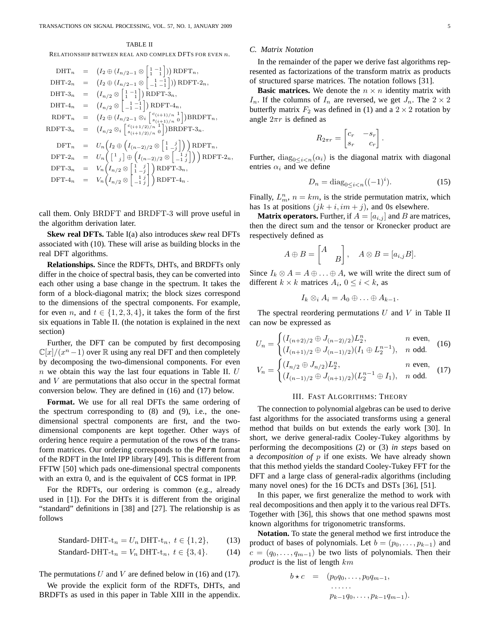## TABLE II

RELATIONSHIP BETWEEN REAL AND COMPLEX DFTS FOR EVEN n.

$$
\begin{array}{rcl}\n\text{DHT}_{n} & = & \left(I_{2} \oplus (I_{n/2-1} \otimes \begin{bmatrix} 1 & -1 \\ 1 & 1 \end{bmatrix}\right)) \text{RDFT}_{n}, \\
\text{DHT-2}_{n} & = & \left(I_{2} \oplus (I_{n/2-1} \otimes \begin{bmatrix} 1 & -1 \\ -1 & -1 \end{bmatrix}\right)) \text{RDFT-2}_{n}, \\
\text{DHT-3}_{n} & = & \left(I_{n/2} \otimes \begin{bmatrix} 1 & -1 \\ 1 & 1 \end{bmatrix}\right) \text{RDFT-3}_{n}, \\
\text{DHT-4}_{n} & = & \left(I_{n/2} \otimes \begin{bmatrix} 1 & -1 \\ -1 & -1 \end{bmatrix}\right) \text{RDFT-4}_{n}, \\
\text{RDFT}_{n} & = & \left(I_{2} \oplus (I_{n/2-1} \otimes_{i} \begin{bmatrix} c_{(i+1)/n} & 1 \\ s_{(i+1)/n} & 0 \end{bmatrix}\right) \text{BRDFT}_{n}, \\
\text{RDFT-3}_{n} & = & \left(I_{n/2} \otimes_{i} \begin{bmatrix} c_{(i+1/2)/n} & 1 \\ s_{(i+1/2)/n} & 0 \end{bmatrix}\right) \text{RDFT-3}_{n}.\n\end{array}
$$
\n
$$
\begin{array}{rcl}\n\text{DFT}_{n} & = & U_{n}\left(I_{2} \oplus \begin{bmatrix} I_{(n-2)/2} \otimes \begin{bmatrix} 1 & j \\ 1 & -j \end{bmatrix}\right)\right) \text{RDFT}_{n}, \\
\text{DFT-2}_{n} & = & U_{n}\left(\begin{bmatrix} 1 & j \end{bmatrix} \oplus \begin{bmatrix} I_{(n-2)/2} \otimes \begin{bmatrix} 1 & j \\ -1 & j \end{bmatrix}\right) \text{RDFT-2}_{n}, \\
\text{DFT-3}_{n} & = & V_{n}\left(I_{n/2} \otimes \begin{bmatrix} 1 & j \\ 1 & -j \\ -1 & j \end{bmatrix}\right) \text{RDFT-4}_{n}.\n\end{array}
$$

call them. Only BRDFT and BRDFT-3 will prove useful in the algorithm derivation later.

**Skew real DFTs.** Table I(a) also introduces *skew* real DFTs associated with (10). These will arise as building blocks in the real DFT algorithms.

**Relationships.** Since the RDFTs, DHTs, and BRDFTs only differ in the choice of spectral basis, they can be converted into each other using a base change in the spectrum. It takes the form of a block-diagonal matrix; the block sizes correspond to the dimensions of the spectral components. For example, for even n, and  $t \in \{1, 2, 3, 4\}$ , it takes the form of the first six equations in Table II. (the notation is explained in the next section)

Further, the DFT can be computed by first decomposing  $\mathbb{C}[x]/(x^n-1)$  over  $\mathbb R$  using any real DFT and then completely by decomposing the two-dimensional components. For even  $n$  we obtain this way the last four equations in Table II. U and V are permutations that also occur in the spectral format conversion below. They are defined in (16) and (17) below.

**Format.** We use for all real DFTs the same ordering of the spectrum corresponding to (8) and (9), i.e., the onedimensional spectral components are first, and the twodimensional components are kept together. Other ways of ordering hence require a permutation of the rows of the transform matrices. Our ordering corresponds to the Perm format of the RDFT in the Intel IPP library [49]. This is different from FFTW [50] which pads one-dimensional spectral components with an extra 0, and is the equivalent of CCS format in IPP.

For the RDFTs, our ordering is common (e.g., already used in [1]). For the DHTs it is different from the original "standard" definitions in [38] and [27]. The relationship is as follows

Standard-DHT-t<sub>n</sub> = 
$$
U_n
$$
 DHT-t<sub>n</sub>,  $t \in \{1, 2\}$ , (13)

Standard-DHT-t<sub>n</sub> = 
$$
V_n
$$
 DHT-t<sub>n</sub>,  $t \in \{3, 4\}$ . (14)

The permutations U and V are defined below in  $(16)$  and  $(17)$ .

We provide the explicit form of the RDFTs, DHTs, and BRDFTs as used in this paper in Table XIII in the appendix.

# *C. Matrix Notation*

In the remainder of the paper we derive fast algorithms represented as factorizations of the transform matrix as products of structured sparse matrices. The notation follows [31].

**Basic matrices.** We denote the  $n \times n$  identity matrix with  $I_n$ . If the columns of  $I_n$  are reversed, we get  $J_n$ . The  $2 \times 2$ butterfly matrix  $F_2$  was defined in (1) and a  $2 \times 2$  rotation by angle  $2\pi r$  is defined as

$$
R_{2\pi r} = \begin{bmatrix} c_r & -s_r \\ s_r & c_r \end{bmatrix}.
$$

Further,  $diag_{0\leq i\leq n}(\alpha_i)$  is the diagonal matrix with diagonal entries  $\alpha_i$  and we define

$$
D_n = \text{diag}_{0 \le i < n} ((-1)^i). \tag{15}
$$

Finally,  $L_m^n$ ,  $n = km$ , is the stride permutation matrix, which has 1s at positions  $(jk + i, im + j)$ , and 0s elsewhere.

**Matrix operators.** Further, if  $A = [a_{i,j}]$  and B are matrices, then the direct sum and the tensor or Kronecker product are respectively defined as

$$
A \oplus B = \begin{bmatrix} A \\ & B \end{bmatrix}, \quad A \otimes B = [a_{i,j}B].
$$

Since  $I_k \otimes A = A \oplus \ldots \oplus A$ , we will write the direct sum of different  $k \times k$  matrices  $A_i$ ,  $0 \le i \lt k$ , as

$$
I_k \otimes_i A_i = A_0 \oplus \ldots \oplus A_{k-1}.
$$

The spectral reordering permutations  $U$  and  $V$  in Table II can now be expressed as

$$
U_n = \begin{cases} (I_{(n+2)/2} \oplus J_{(n-2)/2}) L_2^n, & n \text{ even}, \\ (I_{(n+1)/2} \oplus J_{(n-1)/2}) (I_1 \oplus L_2^{n-1}), & n \text{ odd}. \end{cases}
$$
(16)

$$
V_n = \begin{cases} (I_{n/2} \oplus J_{n/2}) L_2^n, & n \text{ even,} \\ (I_{(n-1)/2} \oplus J_{(n+1)/2}) (L_2^{n-1} \oplus I_1), & n \text{ odd.} \end{cases}
$$
(17)

#### III. FAST ALGORITHMS: THEORY

The connection to polynomial algebras can be used to derive fast algorithms for the associated transforms using a general method that builds on but extends the early work [30]. In short, we derive general-radix Cooley-Tukey algorithms by performing the decompositions (2) or (3) *in steps* based on a *decomposition of* p if one exists. We have already shown that this method yields the standard Cooley-Tukey FFT for the DFT and a large class of general-radix algorithms (including many novel ones) for the 16 DCTs and DSTs [36], [51].

In this paper, we first generalize the method to work with real decompositions and then apply it to the various real DFTs. Together with [36], this shows that one method spawns most known algorithms for trigonometric transforms.

**Notation.** To state the general method we first introduce the product of bases of polynomials. Let  $b = (p_0, \ldots, p_{k-1})$  and  $c = (q_0, \ldots, q_{m-1})$  be two lists of polynomials. Then their *product* is the list of length km

$$
b \star c = (p_0 q_0, \ldots, p_0 q_{m-1},
$$

$$
\ldots
$$

$$
p_{k-1} q_0, \ldots, p_{k-1} q_{m-1}).
$$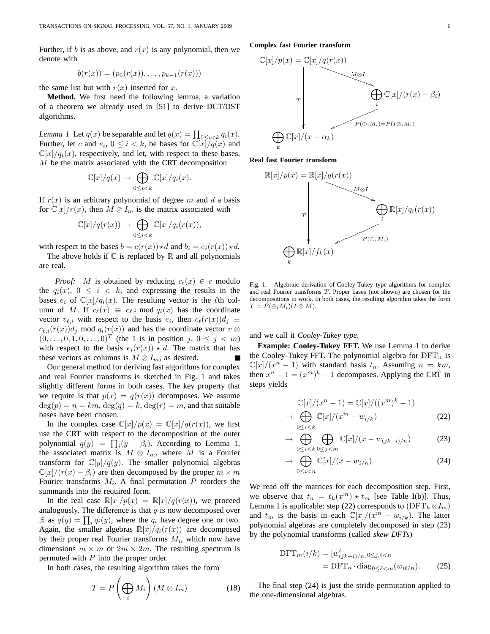Further, if b is as above, and  $r(x)$  is any polynomial, then we denote with

$$
b(r(x)) = (p_0(r(x)), \ldots, p_{k-1}(r(x)))
$$

the same list but with  $r(x)$  inserted for x.

**Method.** We first need the following lemma, a variation of a theorem we already used in [51] to derive DCT/DST algorithms.

*Lemma 1* Let  $q(x)$  be separable and let  $q(x) = \prod_{0 \le i < k} q_i(x)$ . Further, let c and  $e_i$ ,  $0 \le i < k$ , be bases for  $\mathbb{C}[x]/q(x)$  and  $\mathbb{C}[x]/q_i(x)$ , respectively, and let, with respect to these bases, M be the matrix associated with the CRT decomposition

$$
\mathbb{C}[x]/q(x) \to \bigoplus_{0 \leq i < k} \mathbb{C}[x]/q_i(x).
$$

If  $r(x)$  is an arbitrary polynomial of degree m and d a basis for  $\mathbb{C}[x]/r(x)$ , then  $M \otimes I_m$  is the matrix associated with

$$
\mathbb{C}[x]/q(r(x)) \to \bigoplus_{0 \leq i < k} \mathbb{C}[x]/q_i(r(x)),
$$

with respect to the bases  $b = c(r(x)) \star d$  and  $b_i = e_i(r(x)) \star d$ .

The above holds if  $\mathbb C$  is replaced by  $\mathbb R$  and all polynomials are real.

*Proof:* M is obtained by reducing  $c_{\ell}(x) \in c$  modulo the  $q_i(x)$ ,  $0 \leq i \leq k$ , and expressing the results in the bases  $e_i$  of  $\mathbb{C}[x]/q_i(x)$ . The resulting vector is the  $\ell$ th column of M. If  $c_{\ell}(x) \equiv c_{\ell,i} \mod q_i(x)$  has the coordinate vector  $v_{\ell,i}$  with respect to the basis  $e_i$ , then  $c_{\ell}(r(x))d_j \equiv$  $c_{\ell,i}(r(x))d_i \mod q_i(r(x))$  and has the coordinate vector  $v \otimes$  $(0, \ldots, 0, 1, 0, \ldots, 0)^T$  (the 1 is in position j,  $0 \le j < m$ ) with respect to the basis  $e_i(r(x)) \star d$ . The matrix that has these vectors as columns is  $M \otimes I_m$ , as desired.

Our general method for deriving fast algorithms for complex and real Fourier transforms is sketched in Fig. 1 and takes slightly different forms in both cases. The key property that we require is that  $p(x) = q(r(x))$  decomposes. We assume  $deg(p) = n = km, deg(q) = k, deg(r) = m$ , and that suitable bases have been chosen.

In the complex case  $\mathbb{C}[x]/p(x) = \mathbb{C}[x]/q(r(x))$ , we first use the CRT with respect to the decomposition of the outer polynomial  $q(y) = \prod_i (y - \beta_i)$ . According to Lemma 1, the associated matrix is  $M \otimes I_m$ , where M is a Fourier transform for  $\mathbb{C}[y]/q(y)$ . The smaller polynomial algebras  $\mathbb{C}[x]/(r(x) - \beta_i)$  are then decomposed by the proper  $m \times m$ Fourier transforms  $M_i$ . A final permutation P reorders the summands into the required form.

In the real case  $\mathbb{R}[x]/p(x) = \mathbb{R}[x]/q(r(x))$ , we proceed analogously. The difference is that  $q$  is now decomposed over R as  $q(y) = \prod_i q_i(y)$ , where the  $q_i$  have degree one or two. Again, the smaller algebras  $\mathbb{R}[x]/q_i(r(x))$  are decomposed by their proper real Fourier transforms  $M_i$ , which now have dimensions  $m \times m$  or  $2m \times 2m$ . The resulting spectrum is permuted with  $P$  into the proper order.

In both cases, the resulting algorithm takes the form

$$
T = P\left(\bigoplus_{i} M_{i}\right) (M \otimes I_{m})
$$
 (18)

# **Complex fast Fourier transform**



**Real fast Fourier transform**



Fig. 1. Algebraic derivation of Cooley-Tukey type algorithms for complex and real Fourier transforms T. Proper bases (not shown) are chosen for the decompositions to work. In both cases, the resulting algorithm takes the form  $T = P(\bigoplus_i M_i)(I \otimes M).$ 

and we call it *Cooley-Tukey type*.

**Example: Cooley-Tukey FFT.** We use Lemma 1 to derive the Cooley-Tukey FFT. The polynomial algebra for  $DFT_n$  is  $\mathbb{C}[x]/(x^n - 1)$  with standard basis  $t_n$ . Assuming  $n = km$ , then  $x^n - 1 = (x^m)^k - 1$  decomposes. Applying the CRT in steps yields

$$
\mathbb{C}[x]/(x^n - 1) = \mathbb{C}[x]/((x^m)^k - 1)
$$

$$
\rightarrow \bigoplus_{0 \le i < k} \mathbb{C}[x]/(x^m - w_{i/k}) \tag{22}
$$

$$
\rightarrow \bigoplus_{0 \le i < k} \bigoplus_{0 \le j < m} \mathbb{C}[x]/(x - w_{(jk+i)/n}) \tag{23}
$$

$$
\rightarrow \bigoplus_{0 \le i < n} \mathbb{C}[x]/(x - w_{i/n}).\tag{24}
$$

We read off the matrices for each decomposition step. First, we observe that  $t_n = t_k(x^m) \star t_m$  [see Table I(b)]. Thus, Lemma 1 is applicable: step (22) corresponds to  $(DFT_k \otimes I_m)$ and  $t_m$  is the basis in each  $\mathbb{C}[x]/(x^m - w_{i/k})$ . The latter polynomial algebras are completely decomposed in step (23) by the polynomial transforms (called *skew DFTs*)

$$
\begin{aligned} \text{DFT}_m(i/k) &= [w_{(jk+i)/n}^\ell]_{0 \le j,\ell < n} \\ &= \text{DFT}_n \cdot \text{diag}_{0 \le \ell < m}(w_{i\ell/n}). \end{aligned} \tag{25}
$$

The final step (24) is just the stride permutation applied to the one-dimensional algebras.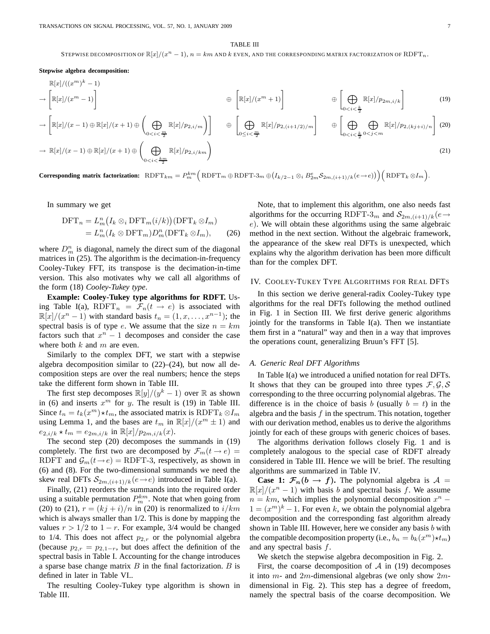#### TABLE III

STEPWISE DECOMPOSITION OF  $\mathbb{R}[x]/(x^n-1)$ ,  $n=km$  and  $k$  even, and the corresponding matrix factorization of  $\text{RDFT}_n$ .

#### **Stepwise algebra decomposition:**

$$
\mathbb{R}[x]/((x^m)^k - 1)
$$
\n
$$
\rightarrow \left[\mathbb{R}[x]/(x^m - 1)\right]
$$
\n
$$
\rightarrow \left[\mathbb{R}[x]/(x^m - 1) \oplus \mathbb{R}[x]/(x + 1) \oplus \left(\bigoplus_{0 < i < \frac{m}{2}} \mathbb{R}[x]/p_{2,i/m}\right)\right]
$$
\n
$$
\rightarrow \left[\mathbb{R}[x]/(x - 1) \oplus \mathbb{R}[x]/(x + 1) \oplus \left(\bigoplus_{0 < i < \frac{m}{2}} \mathbb{R}[x]/p_{2,i/m}\right)\right]
$$
\n
$$
\rightarrow \left[\bigoplus_{0 < i < \frac{k}{2}} \mathbb{R}[x]/p_{2,(i+1/2)/m}\right]
$$
\n
$$
\rightarrow \left[\bigoplus_{0 < i < \frac{k}{2}} \mathbb{R}[x]/p_{2,(kj+1)/n}\right]
$$
\n
$$
\rightarrow \mathbb{R}[x]/(x - 1) \oplus \mathbb{R}[x]/(x + 1) \oplus \left(\bigoplus_{0 < i < \frac{km}{2}} \mathbb{R}[x]/p_{2,i/km}\right)
$$
\n
$$
\rightarrow \left[\bigoplus_{0 < i < \frac{k}{2}} \mathbb{R}[x]/p_{2,i/km}\right]
$$
\n
$$
\rightarrow \left[\bigoplus_{0 < i < \frac{k}{2}} \mathbb{R}[x]/p_{2,(i+1)/m}\right]
$$
\n
$$
\rightarrow \left[\bigoplus_{0 < i < \frac{k}{2}} \mathbb{R}[x]/p_{2,(i+1)/m}\right]
$$
\n
$$
\rightarrow \left[\bigoplus_{0 < i < \frac{k}{2}} \mathbb{R}[x]/p_{2,(i+1)/m}\right]
$$
\n
$$
\rightarrow \left[\bigoplus_{0 < i < \frac{k}{2}} \mathbb{R}[x]/p_{2,(i+1)/m}\right]
$$
\n
$$
\rightarrow \left[\bigoplus_{0 < i < \frac{k}{2}} \mathbb{R}[x]/p_{2,(i+1)/m}\right]
$$
\n
$$
\rightarrow \left[\bigoplus_{0 < i < \frac{k}{2}} \mathbb{R}[x]/p_{2,(i+1)/
$$

 $\textbf{Corresponding matrix factorization:} \ \ \text{RDFT}_{km} = P_m^{km} \Big( \ \text{RDFT}_m \oplus \text{RDFT-3}_m \oplus \big( I_{k/2-1} \otimes_i B_{2m}^e \mathcal{S}_{2m,(i+1)/k}(e \rightarrow e) \big) \Big) \Big( \ \text{RDFT}_k \otimes I_m \Big).$ 

In summary we get

$$
\begin{aligned} \text{DFT}_n &= L_m^n \big( I_k \otimes_i \text{DFT}_m(i/k) \big) (\text{DFT}_k \otimes I_m) \\ &= L_m^n (I_k \otimes \text{DFT}_m) D_m^n (\text{DFT}_k \otimes I_m), \end{aligned} \tag{26}
$$

where  $D_m^n$  is diagonal, namely the direct sum of the diagonal matrices in (25). The algorithm is the decimation-in-frequency Cooley-Tukey FFT, its transpose is the decimation-in-time version. This also motivates why we call all algorithms of the form (18) *Cooley-Tukey type*.

**Example: Cooley-Tukey type algorithms for RDFT.** Using Table I(a), RDFT<sub>n</sub> =  $\mathcal{F}_n(t \to e)$  is associated with  $\mathbb{R}[x]/(x^n - 1)$  with standard basis  $t_n = (1, x, \dots, x^{n-1})$ ; the spectral basis is of type e. We assume that the size  $n = km$ factors such that  $x^n - 1$  decomposes and consider the case where both  $k$  and  $m$  are even.

Similarly to the complex DFT, we start with a stepwise algebra decomposition similar to  $(22)$ – $(24)$ , but now all decomposition steps are over the real numbers; hence the steps take the different form shown in Table III.

The first step decomposes  $\mathbb{R}[y]/(y^k-1)$  over  $\mathbb R$  as shown in (6) and inserts  $x^m$  for y. The result is (19) in Table III. Since  $t_n = t_k(x^m) \star t_m$ , the associated matrix is  $\text{RDFT}_k \otimes I_m$ using Lemma 1, and the bases are  $t_m$  in  $\mathbb{R}[x]/(x^m \pm 1)$  and  $e_{2,i/k} \star t_m = e_{2m,i/k}$  in  $\mathbb{R}[x]/p_{2m,i/k}(x)$ .

The second step (20) decomposes the summands in (19) completely. The first two are decomposed by  $\mathcal{F}_m(t \to e)$  = RDFT and  $\mathcal{G}_m(t\rightarrow e) =$  RDFT-3, respectively, as shown in (6) and (8). For the two-dimensional summands we need the skew real DFTs  $S_{2m,(i+1)/k}(e \rightarrow e)$  introduced in Table I(a).

Finally, (21) reorders the summands into the required order using a suitable permutation  $P_m^{km}$ . Note that when going from (20) to (21),  $r = (kj + i)/n$  in (20) is renormalized to  $i/km$ which is always smaller than  $1/2$ . This is done by mapping the values  $r > 1/2$  to  $1 - r$ . For example, 3/4 would be changed to 1/4. This does not affect  $p_{2,r}$  or the polynomial algebra (because  $p_{2,r} = p_{2,1-r}$ , but does affect the definition of the spectral basis in Table I. Accounting for the change introduces a sparse base change matrix  $B$  in the final factorization.  $B$  is defined in later in Table VI..

The resulting Cooley-Tukey type algorithm is shown in Table III.

Note, that to implement this algorithm, one also needs fast algorithms for the occurring RDFT-3<sub>m</sub> and  $S_{2m,(i+1)/k}(e \rightarrow$  $e$ ). We will obtain these algorithms using the same algebraic method in the next section. Without the algebraic framework, the appearance of the skew real DFTs is unexpected, which explains why the algorithm derivation has been more difficult than for the complex DFT.

# IV. COOLEY-TUKEY TYPE ALGORITHMS FOR REAL DFTS

In this section we derive general-radix Cooley-Tukey type algorithms for the real DFTs following the method outlined in Fig. 1 in Section III. We first derive generic algorithms jointly for the transforms in Table I(a). Then we instantiate them first in a "natural" way and then in a way that improves the operations count, generalizing Bruun's FFT [5].

#### *A. Generic Real DFT Algorithms*

In Table I(a) we introduced a unified notation for real DFTs. It shows that they can be grouped into three types  $\mathcal{F}, \mathcal{G}, \mathcal{S}$ corresponding to the three occurring polynomial algebras. The difference is in the choice of basis b (usually  $b = t$ ) in the algebra and the basis  $f$  in the spectrum. This notation, together with our derivation method, enables us to derive the algorithms jointly for each of these groups with generic choices of bases.

The algorithms derivation follows closely Fig. 1 and is completely analogous to the special case of RDFT already considered in Table III. Hence we will be brief. The resulting algorithms are summarized in Table IV.

**Case 1:**  $\mathcal{F}_n(b \to f)$ . The polynomial algebra is  $A =$  $\mathbb{R}[x]/(x^n - 1)$  with basis b and spectral basis f. We assume  $n = km$ , which implies the polynomial decomposition  $x<sup>n</sup>$  –  $1 = (x^m)^k - 1$ . For even k, we obtain the polynomial algebra decomposition and the corresponding fast algorithm already shown in Table III. However, here we consider any basis  $b$  with the compatible decomposition property (i.e.,  $b_n = b_k(x^m) \star t_m$ ) and any spectral basis f.

We sketch the stepwise algebra decomposition in Fig. 2.

First, the coarse decomposition of  $A$  in (19) decomposes it into  $m$ - and  $2m$ -dimensional algebras (we only show  $2m$ dimensional in Fig. 2). This step has a degree of freedom, namely the spectral basis of the coarse decomposition. We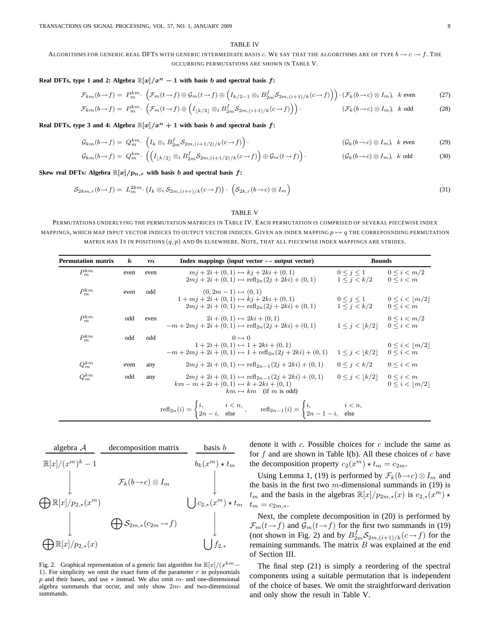#### TABLE IV

ALGORITHMS FOR GENERIC REAL DFTS WITH GENERIC INTERMEDIATE BASIS c. WE SAY THAT THE ALGORITHMS ARE OF TYPE  $b \to c \to f$ . The OCCURRING PERMUTATIONS ARE SHOWN IN TABLE V.

# **Real DFTs, type 1 and 2: Algebra**  $\mathbb{R}[x]/x^n - 1$  with basis b and spectral basis f:

$$
\mathcal{F}_{km}(b \to f) = P_m^{km} \cdot \left( \mathcal{F}_m(t \to f) \oplus \mathcal{G}_m(t \to f) \oplus \left( I_{k/2-1} \otimes_i B_{2m}^f S_{2m,(i+1)/k}(c \to f) \right) \right) \cdot (\mathcal{F}_k(b \to c) \otimes I_m), \quad k \text{ even} \tag{27}
$$

$$
\mathcal{F}_{km}(b \to f) = P_m^{km} \cdot \left( \mathcal{F}_m(t \to f) \oplus \left( I_{\lfloor k/2 \rfloor} \otimes_i B_{2m}^f \mathcal{S}_{2m,(i+1)/k}(c \to f) \right) \right) \cdot \left( \mathcal{F}_k(b \to c) \otimes I_m \right), \quad k \text{ odd} \tag{28}
$$

**Real DFTs, type 3 and 4:** Algebra  $\mathbb{R}[x]/x^n + 1$  with basis b and spectral basis f:

$$
\mathcal{G}_{km}(b \to f) = Q_m^{km} \cdot \left( I_k \otimes_i B_{2m}^f \mathcal{S}_{2m,(i+1/2)/k}(c \to f) \right) \cdot \left( \mathcal{G}_k(b \to c) \otimes I_m \right), \quad k \text{ even} \tag{29}
$$

$$
\mathcal{G}_{km}(b \to f) = Q_m^{km} \cdot \left( \left( I_{\lfloor k/2 \rfloor} \otimes_i B_{2m}^f S_{2m,(i+1/2)/k}(c \to f) \right) \oplus \mathcal{G}_m(t \to f) \right) \cdot \qquad (\mathcal{G}_k(b \to c) \otimes I_m), \quad k \text{ odd}
$$

**Skew real DFTs:** Algebra  $\mathbb{R}[x]/p_{n,r}$  with basis b and spectral basis f:

$$
S_{2km,r}(b \to f) = L_m^{2km} \cdot \left( I_k \otimes_i S_{2m,(i+r)/k}(c \to f) \right) \cdot \left( S_{2k,r}(b \to c) \otimes I_m \right) \tag{31}
$$

#### TABLE V

PERMUTATIONS UNDERLYING THE PERMUTATION MATRICES IN TABLE IV. EACH PERMUTATION IS COMPRISED OF SEVERAL PIECEWISE INDEX MAPPINGS, WHICH MAP INPUT VECTOR INDICES TO OUTPUT VECTOR INDICES. GIVEN AN INDEX MAPPING  $p \mapsto q$  the CORREPOSNDING PERMUTATION MATRIX HAS 1S IN POSITIONS  $(q, p)$  and 0s elsewhere. Note, that all piecewise index mappings are strides.

| <b>Permutation matrix</b> | $\boldsymbol{k}$ | $\boldsymbol{m}$ | Index mappings (input vector $\mapsto$ output vector)                                                                                                                                 | <b>Bounds</b>                                               |                                            |
|---------------------------|------------------|------------------|---------------------------------------------------------------------------------------------------------------------------------------------------------------------------------------|-------------------------------------------------------------|--------------------------------------------|
| $P_m^{km}$                | even             | even             | $m j + 2i + (0, 1) \mapsto k j + 2k i + (0, 1)$<br>$2mj + 2i + (0, 1) \mapsto \text{refl}_{2n}(2j + 2ki) + (0, 1)$                                                                    | $0 \leq j \leq 1$<br>$1 \leq j \leq k/2$                    | $0 \le i \le m/2$<br>$0 \leq i \leq m$     |
| $P_m^{km}$                | even             | odd              | $(0, 2m - 1) \mapsto (0, 1)$<br>$1 + mj + 2i + (0, 1) \mapsto k\dot{i} + 2ki + (0, 1)$<br>$2mi + 2i + (0, 1) \mapsto \text{refl}_{2n}(2j + 2ki) + (0, 1)$                             | $0 \leq j \leq 1$ $0 \leq i <  m/2 $<br>$1 \leq i \leq k/2$ | $0 \leq i \leq m$                          |
| $P_m^{km}$                | odd              | even             | $2i + (0, 1) \mapsto 2ki + (0, 1)$<br>$-m+2m\dot{i}+2\dot{i}+(0,1) \mapsto \text{refl}_{2n}(2\dot{i}+2\dot{k}\dot{i})+(0,1)$                                                          | $1 \leq j \leq  k/2 $                                       | $0 \le i \le m/2$<br>$0 \leq i \leq m$     |
| $P_m^{km}$                | odd              | odd              | $0 \mapsto 0$<br>$1+2i+(0,1) \mapsto 1+2ki+(0,1)$<br>$-m+2mj+2i+(0,1) \mapsto 1 + \text{refl}_{2n}(2j+2ki)+(0,1)$                                                                     | $1 \leq j \leq  k/2 $                                       | $0 \leq i \leq  m/2 $<br>$0 \leq i \leq m$ |
| $Q_m^{km}$                | even             | any              | $2mj + 2i + (0, 1) \mapsto \text{refl}_{2n-1}(2j + 2ki) + (0, 1)$                                                                                                                     | $0 \leq j \leq k/2$                                         | $0 \leq i < m$                             |
| $Q_m^{km}$                | odd              | any              | $2mj + 2i + (0, 1) \mapsto \text{refl}_{2n-1}(2j + 2ki) + (0, 1)$<br>$km - m + 2i + (0, 1) \rightarrow k + 2ki + (0, 1)$<br>$km \mapsto km$ (if m is odd)                             | $0 \leq j \leq  k/2 $                                       | $0 \leq i \leq m$<br>$0 \leq i \leq  m/2 $ |
|                           |                  |                  | $\text{refl}_{2n}(i) = \begin{cases} i, & i < n, \\ 2n - i, & \text{else} \end{cases}$ , $\text{refl}_{2n-1}(i) = \begin{cases} i, & i < n, \\ 2n - 1 - i, & \text{else} \end{cases}$ |                                                             |                                            |



Fig. 2. Graphical representation of a generic fast algorithm for  $\mathbb{R}[x]/(x^{km} -$ 1). For simplicity we omit the exact form of the parameter  $r$  in polynomials p and their bases, and use  $*$  instead. We also omit  $m$ - and one-dimensional algebra summands that occur, and only show 2m- and two-dimensional summands.

denote it with  $c$ . Possible choices for  $c$  include the same as for  $f$  and are shown in Table I(b). All these choices of  $c$  have the decomposition property  $c_2(x^m) \star t_m = c_{2m}$ .

Using Lemma 1, (19) is performed by  $\mathcal{F}_k(b\rightarrow c)\otimes I_m$  and the basis in the first two  $m$ -dimensional summands in (19) is  $t_m$  and the basis in the algebras  $\mathbb{R}[x]/p_{2m,*}(x)$  is  $c_{2,*}(x^m)$   $\star$  $t_m = c_{2m,*}.$ 

Next, the complete decomposition in (20) is performed by  $\mathcal{F}_m(t\to f)$  and  $\mathcal{G}_m(t\to f)$  for the first two summands in (19) (not shown in Fig. 2) and by  $B_{2m}^f \mathcal{S}_{2m,(i+1)/k}(c \rightarrow f)$  for the remaining summands. The matrix  $B$  was explained at the end of Section III.

The final step (21) is simply a reordering of the spectral components using a suitable permutation that is independent of the choice of bases. We omit the straightforward derivation and only show the result in Table V.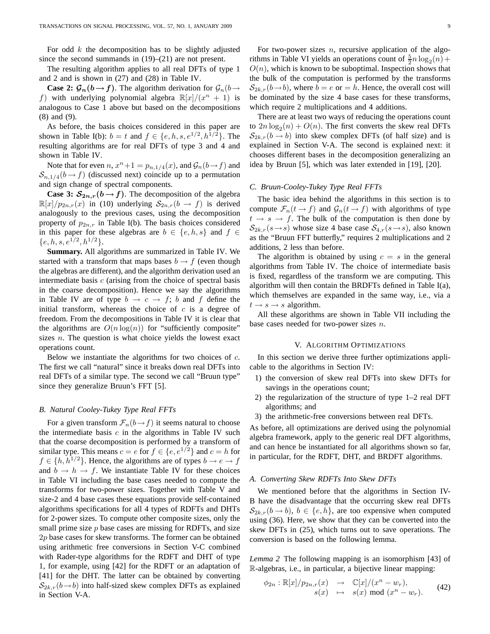For odd  $k$  the decomposition has to be slightly adjusted since the second summands in  $(19)$ – $(21)$  are not present.

The resulting algorithm applies to all real DFTs of type 1 and 2 and is shown in (27) and (28) in Table IV.

**Case 2:**  $\mathcal{G}_n(b \to f)$ . The algorithm derivation for  $\mathcal{G}_n(b \to f)$ f) with underlying polynomial algebra  $\mathbb{R}[x]/(x^n + 1)$  is analogous to Case 1 above but based on the decompositions (8) and (9).

As before, the basis choices considered in this paper are shown in Table I(b):  $b = t$  and  $f \in \{e, h, s, e^{1/2}, h^{1/2}\}\$ . The resulting algorithms are for real DFTs of type 3 and 4 and shown in Table IV.

Note that for even  $n, x^n + 1 = p_{n,1/4}(x)$ , and  $\mathcal{G}_n(b \rightarrow f)$  and  $\mathcal{S}_{n,1/4}(b \rightarrow f)$  (discussed next) coincide up to a permutation and sign change of spectral components.

**Case 3:**  $S_{2n,r}(b \rightarrow f)$ . The decomposition of the algebra  $\mathbb{R}[x]/p_{2n,r}(x)$  in (10) underlying  $S_{2n,r}(b \rightarrow f)$  is derived analogously to the previous cases, using the decomposition property of  $p_{2n,r}$  in Table I(b). The basis choices considered in this paper for these algebras are  $b \in \{e, h, s\}$  and  $f \in$  $\{e, h, s, e^{1/2}, h^{1/2}\}.$ 

**Summary.** All algorithms are summarized in Table IV. We started with a transform that maps bases  $b \rightarrow f$  (even though the algebras are different), and the algorithm derivation used an intermediate basis  $c$  (arising from the choice of spectral basis in the coarse decomposition). Hence we say the algorithms in Table IV are of type  $b \to c \to f$ ; b and f define the initial transform, whereas the choice of  $c$  is a degree of freedom. From the decompositions in Table IV it is clear that the algorithms are  $O(n \log(n))$  for "sufficiently composite" sizes  $n$ . The question is what choice yields the lowest exact operations count.

Below we instantiate the algorithms for two choices of  $c$ . The first we call "natural" since it breaks down real DFTs into real DFTs of a similar type. The second we call "Bruun type" since they generalize Bruun's FFT [5].

# *B. Natural Cooley-Tukey Type Real FFTs*

For a given transform  $\mathcal{F}_n(b \to f)$  it seems natural to choose the intermediate basis  $c$  in the algorithms in Table IV such that the coarse decomposition is performed by a transform of similar type. This means  $c = e$  for  $f \in \{e, e^{1/2}\}\$ and  $c = h$  for  $f \in \{h, h^{1/2}\}\.$  Hence, the algorithms are of types  $b \to e \to f$ and  $b \to h \to f$ . We instantiate Table IV for these choices in Table VI including the base cases needed to compute the transforms for two-power sizes. Together with Table V and size-2 and 4 base cases these equations provide self-contained algorithms specifications for all 4 types of RDFTs and DHTs for 2-power sizes. To compute other composite sizes, only the small prime size  $p$  base cases are missing for RDFTs, and size  $2p$  base cases for skew transforms. The former can be obtained using arithmetic free conversions in Section V-C combined with Rader-type algorithms for the RDFT and DHT of type 1, for example, using [42] for the RDFT or an adaptation of [41] for the DHT. The latter can be obtained by converting  $S_{2k,r}(b\rightarrow b)$  into half-sized skew complex DFTs as explained in Section V-A.

For two-power sizes  $n$ , recursive application of the algorithms in Table VI yields an operations count of  $\frac{5}{2}n \log_2(n)$  +  $O(n)$ , which is known to be suboptimal. Inspection shows that the bulk of the computation is performed by the transforms  $S_{2k,r}(b\rightarrow b)$ , where  $b = e$  or  $= h$ . Hence, the overall cost will be dominated by the size 4 base cases for these transforms, which require 2 multiplications and 4 additions.

There are at least two ways of reducing the operations count to  $2n \log_2(n) + O(n)$ . The first converts the skew real DFTs  $S_{2k,r}(b \rightarrow b)$  into skew complex DFTs (of half size) and is explained in Section V-A. The second is explained next: it chooses different bases in the decomposition generalizing an idea by Bruun [5], which was later extended in [19], [20].

# *C. Bruun-Cooley-Tukey Type Real FFTs*

The basic idea behind the algorithms in this section is to compute  $\mathcal{F}_n(t \to f)$  and  $\mathcal{G}_n(t \to f)$  with algorithms of type  $t \rightarrow s \rightarrow f$ . The bulk of the computation is then done by  $S_{2k,r}(s\rightarrow s)$  whose size 4 base case  $S_{4,r}(s\rightarrow s)$ , also known as the "Bruun FFT butterfly," requires 2 multiplications and 2 additions, 2 less than before.

The algorithm is obtained by using  $c = s$  in the general algorithms from Table IV. The choice of intermediate basis is fixed, regardless of the transform we are computing. This algorithm will then contain the BRDFTs defined in Table I(a), which themselves are expanded in the same way, i.e., via a  $t \rightarrow s \rightarrow s$  algorithm.

All these algorithms are shown in Table VII including the base cases needed for two-power sizes n.

# V. ALGORITHM OPTIMIZATIONS

In this section we derive three further optimizations applicable to the algorithms in Section IV:

- 1) the conversion of skew real DFTs into skew DFTs for savings in the operations count;
- 2) the regularization of the structure of type 1–2 real DFT algorithms; and
- 3) the arithmetic-free conversions between real DFTs.

As before, all optimizations are derived using the polynomial algebra framework, apply to the generic real DFT algorithms, and can hence be instantiated for all algorithms shown so far, in particular, for the RDFT, DHT, and BRDFT algorithms.

## *A. Converting Skew RDFTs Into Skew DFTs*

We mentioned before that the algorithms in Section IV-B have the disadvantage that the occurring skew real DFTs  $S_{2k,r}(b \rightarrow b)$ ,  $b \in \{e, h\}$ , are too expensive when computed using (36). Here, we show that they can be converted into the skew DFTs in (25), which turns out to save operations. The conversion is based on the following lemma.

*Lemma 2* The following mapping is an isomorphism [43] of R-algebras, i.e., in particular, a bijective linear mapping:

$$
\phi_{2n}: \mathbb{R}[x]/p_{2n,r}(x) \rightarrow \mathbb{C}[x]/(x^n - w_r),
$$
  

$$
s(x) \mapsto s(x) \mod (x^n - w_r).
$$
 (42)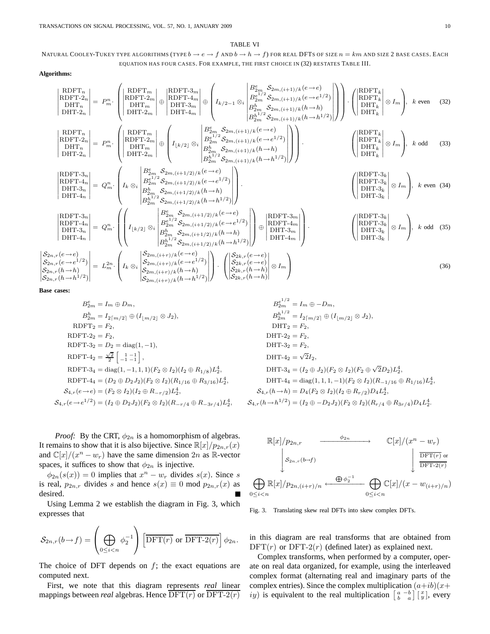#### TABLE VI

NATURAL COOLEY-TUKEY TYPE ALGORITHMS (TYPE  $b \to e \to f$  and  $b \to h \to f$ ) for real DFTs of size  $n = km$  and size 2 base cases. Each EQUATION HAS FOUR CASES. FOR EXAMPLE, THE FIRST CHOICE IN (32) RESTATES TABLE III.

# **Algorithms:**

$$
\begin{vmatrix}\nR DFT_{n} \\
R DFT_{2n} \\
D HTT_{2n} \\
D HTT_{2n} \\
D HTT_{2n} \\
D HTT_{2n} \\
D HTT_{2n} \\
D HTT_{2n} \\
D HTT_{2n} \\
D HTT_{2n} \\
D HTT_{2n} \\
D HTT_{2n} \\
D HTT_{2n} \\
D HTT_{2n} \\
D HTT_{2n} \\
D HTT_{2n} \\
D HTT_{2n} \\
D HTT_{2n} \\
D HTT_{2n} \\
D HTT_{2n} \\
D HTT_{2n} \\
D HTT_{2n} \\
D HTT_{2n} \\
D HTT_{2n} \\
D HTT_{2n} \\
D HTT_{2n} \\
D HTT_{2n} \\
D HTT_{2n} \\
D HTT_{2n} \\
D HTT_{2n} \\
D HTT_{2n} \\
D HTT_{2n} \\
D HTT_{2n} \\
D HTT_{2n} \\
D HTT_{2n} \\
D HTT_{2n} \\
D HTT_{2n} \\
D HTT_{2n} \\
D HTT_{2n} \\
D HTT_{2n} \\
D HTT_{2n} \\
D HTT_{2n} \\
D HTT_{2n} \\
D HTT_{2n} \\
D HTT_{2n} \\
D HTT_{2n} \\
D HTT_{2n} \\
D HTT_{2n} \\
D HTT_{2n} \\
D HTT_{2n} \\
D HTT_{2n} \\
D HTT_{2n} \\
D HTT_{2n} \\
D HTT_{2n} \\
D HTT_{2n} \\
D HTT_{2n} \\
D HTT_{2n} \\
D HTT_{2n} \\
D HTT_{2n} \\
D HTT_{2n} \\
D HTT_{2n} \\
D HTT_{2n} \\
D HTT_{2n} \\
D HTT_{2n} \\
D HTT_{2n} \\
D HTT_{2n} \\
D HTT_{2n} \\
D HTT_{2n} \\
D HTT_{2n} \\
D HTT_{2n} \\
D HTT_{2n} \\
D HTT_{2n} \\
D HTT_{2n} \\
D HTT_{2n} \\
D HTT_{2n} \\
D HTT_{2n} \\
D HTT_{2n} \\
D HTT_{2n} \\
D HTT_{2n} \\
D HTT_{2n} \\
D HTT_{2n} \\
D HTT_{2n} \\
D HTT_{2n} \\
D HTT_{2n} \\
D HTT_{2n} \\
D HTT_{2n} \\
D HTT_{2n} \\
D HTT_{2n} \\
D HTT_{2n} \\
D HTT_{2n} \\
D HTT_{2n} \\
D HTT_{2n} \\
D HTT_{2n} \\
D HTT_{2n} \\
D HT
$$

 $\theta$  $0 \leq i$ 

**Base cases:**

 $\frac{1}{\sqrt{2}}$ 

$$
B_{2m}^{e} = I_{m} \oplus D_{m},
$$
  
\n
$$
B_{2m}^{h} = I_{2\lceil m/2 \rceil} \oplus (I_{\lfloor m/2 \rfloor} \otimes J_{2}),
$$
  
\nRDFT<sub>2</sub> = F<sub>2</sub>,  
\nRDFT<sub>-32</sub> = D<sub>2</sub> = diag(1, -1),  
\nRDFT<sub>-34</sub> = diag(1, -1, 1, 1)(F<sub>2</sub> \otimes I\_{2})(I\_{2} \oplus R<sub>1/8</sub>)L<sub>2</sub><sup>4</sup>,  
\nRDFT<sub>-44</sub> = (D<sub>2</sub> \oplus D<sub>2</sub>J<sub>2</sub>)(F<sub>2</sub> \otimes I\_{2})(R<sub>1/16</sub> \oplus R<sub>3/16</sub>)L<sub>2</sub><sup>4</sup>,  
\nS<sub>4,r</sub>(e \rightarrow e) = (F<sub>2</sub> \otimes I\_{2})(I\_{2} \oplus R<sub>-r/2</sub>)L<sub>2</sub><sup>4</sup>,  
\nS<sub>4,r</sub>(e \rightarrow e<sup>1/2</sup>) = (I<sub>2</sub> \oplus D<sub>2</sub>J<sub>2</sub>)(F<sub>2</sub> \otimes I\_{2})(R<sub>-r/4</sub> \oplus R<sub>-3r/4</sub>)L<sub>2</sub><sup>4</sup>,  
\nS<sub>4,r</sub>(h \rightarrow h<sup>1/2</sup>) = (I<sub>2</sub> \oplus D<sub>2</sub>J<sub>2</sub>)(F<sub>2</sub> \otimes I\_{2})(R<sub>-r/4</sub> \oplus R<sub>-3r/4</sub>)L<sub>2</sub><sup>4</sup>,  
\nS<sub>4,r</sub>(h \rightarrow h<sup>1/2</sup>) = (I<sub>2</sub> \oplus D<sub>2</sub>J<sub>2</sub>)(F<sub>2</sub> \otimes I\_{2})(R<sub>-r/4</sub> \oplus R<sub>-3r/4</sub>)L<sub>2</sub><sup>4</sup>,  
\nS<sub>4,r</sub>(h \rightarrow h<sup>1/2</sup>) = (I<sub>2</sub> \oplus D<sub>2</sub>J<sub>2</sub>)(F<sub>2</sub>

*Proof:* By the CRT,  $\phi_{2n}$  is a homomorphism of algebras. It remains to show that it is also bijective. Since  $\mathbb{R}[x]/p_{2n,r}(x)$ and  $\mathbb{C}[x]/(x^n - w_r)$  have the same dimension  $2n$  as  $\mathbb{R}$ -vector spaces, it suffices to show that  $\phi_{2n}$  is injective.

 $\phi_{2n}(s(x)) = 0$  implies that  $x^n - w_r$  divides  $s(x)$ . Since s is real,  $p_{2n,r}$  divides s and hence  $s(x) \equiv 0 \mod p_{2n,r}(x)$  as desired.

Using Lemma 2 we establish the diagram in Fig. 3, which expresses that

$$
S_{2n,r}(b \to f) = \left(\bigoplus_{0 \le i < n} \phi_2^{-1}\right) \left[\overline{\text{DFT}(r)} \text{ or } \overline{\text{DFT-2}(r)}\right] \phi_{2n}.
$$

The choice of DFT depends on  $f$ ; the exact equations are computed next.

First, we note that this diagram represents *real* linear mappings between *real* algebras. Hence  $DFT(r)$  or  $DFT-2(r)$ 

$$
B_{2m}^{e^{1/2}} = I_m \oplus -D_m,
$$
  
\n
$$
B_{2m}^{h^{1/2}} = I_{2\lceil m/2 \rceil} \oplus (I_{\lfloor m/2 \rfloor} \otimes J_2),
$$
  
\n
$$
\text{DHT}_{2} = F_2,
$$
  
\n
$$
\text{DHT-3}_2 = F_2,
$$
  
\n
$$
\text{DHT-4}_2 = \sqrt{2}I_2,
$$
  
\n
$$
(I_2 \oplus R_{1/8})L_2^4,
$$
  
\n
$$
\text{DHT-3}_4 = (I_2 \oplus J_2)(F_2 \otimes I_2)(F_2 \oplus \sqrt{2}D_2)L_2^4,
$$
  
\n
$$
\text{DHT-4}_4 = \text{diag}(1, 1, 1, -1)(F_2 \otimes I_2)(R_{-1/16} \oplus R_{1/16})L_2^4,
$$
  
\n
$$
S_{4,r}(h \to h) = D_4(F_2 \otimes I_2)(I_2 \oplus R_{r/2})D_4L_2^4,
$$
  
\n
$$
S_{4,r}(h \to h^{1/2}) = (I_2 \oplus -D_2J_2)(F_2 \otimes I_2)(R_{r/4} \oplus R_{3r/4})D_4L_2^4.
$$

$$
\mathbb{R}[x]/p_{2n,r} \longrightarrow \mathbb{C}[x]/(x^n - w_r)
$$
\n
$$
\downarrow s_{2n,r}(b \to f)
$$
\n
$$
\downarrow \frac{\mathbb{D}(\mathbb{F}T(r) \text{ or } \mathbb{F}T(r))}{\mathbb{D}(\mathbb{F}T^{2}(r))}
$$
\n
$$
\downarrow \frac{\mathbb{D}(\mathbb{F}T(r) \text{ or } \mathbb{F}T^{2}(r))}{\mathbb{D}(\mathbb{F}T^{2}(r))}
$$
\n
$$
\downarrow s_{2n}(x)/p_{2n,(i+r)/n} \longleftarrow \frac{\mathbb{D}(\mathbb{F}T^{2}(r))}{\mathbb{D}(\mathbb{F}T^{2}(r))}
$$

Fig. 3. Translating skew real DFTs into skew complex DFTs.

in this diagram are real transforms that are obtained from  $DFT(r)$  or  $DFT-2(r)$  (defined later) as explained next.

Complex transforms, when performed by a computer, operate on real data organized, for example, using the interleaved complex format (alternating real and imaginary parts of the complex entries). Since the complex multiplication  $(a+ib)(x+$ iy) is equivalent to the real multiplication  $\begin{bmatrix} a & -b \\ b & a \end{bmatrix} \begin{bmatrix} x \\ y \end{bmatrix}$ , every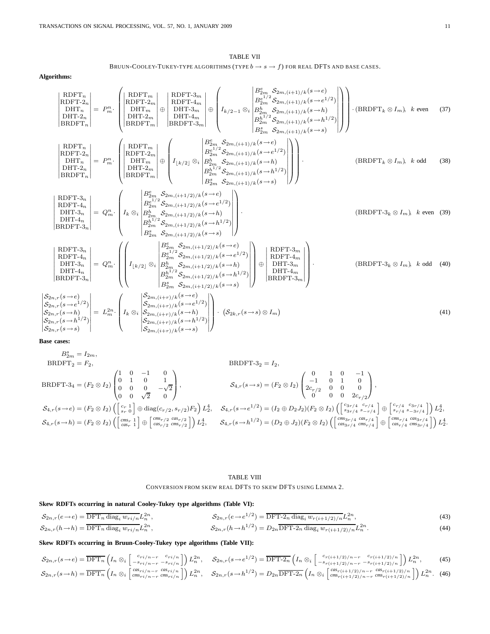TABLE VII  
Bruun-Cooley-Tukey-type algorithms (type 
$$
b \rightarrow s \rightarrow f
$$
) for real DFTs and base cases.

# **Algorithms:**

$$
\begin{array}{c} \text{RDFT}_{n} \\ \text{RDFT}_{2n} \\ \text{DHT}_{n} \\ \text{BRDFT}_{n} \\ \text{BRDFT}_{n} \\ \text{BRDFT}_{n} \\ \text{BRDFT}_{n} \\ \text{RDFT}_{n} \\ \text{RDFT}_{n} \\ \text{RDFT}_{n} \\ \text{RDFT}_{n} \\ \text{RDFT}_{n} \\ \text{RDFT}_{n} \\ \text{RDFT}_{n} \\ \text{RDFT}_{n} \\ \text{RDFT}_{n} \\ \text{RDFT}_{n} \\ \text{RDFT}_{n} \\ \text{RDFT}_{n} \\ \text{RDFT}_{n} \\ \text{RDFT}_{n} \\ \text{RDFT}_{n} \\ \text{RDFT}_{n} \\ \text{RDFT}_{n} \\ \text{RDFT}_{n} \\ \text{RDFT}_{n} \\ \text{RDFT}_{n} \\ \text{RDFT}_{n} \\ \text{RDFT}_{n} \\ \text{RDFT}_{n} \\ \text{RDFT}_{n} \\ \text{RDFT}_{n} \\ \text{RDFT}_{n} \\ \text{RDFT}_{n} \\ \text{RDFT}_{n} \\ \text{RDFT}_{n} \\ \text{RDFT}_{n} \\ \text{RDFT}_{n} \\ \text{RDFT}_{n} \\ \text{RDFT}_{n} \\ \text{RDFT}_{n} \\ \text{RDFT}_{n} \\ \text{RDFT}_{n} \\ \text{RDFT}_{n} \\ \text{RDFT}_{n} \\ \text{RDFT}_{n} \\ \text{RDFT}_{n} \\ \text{RDFT}_{n} \\ \text{RDFT}_{n} \\ \text{RDFT}_{n} \\ \text{RDFT}_{n} \\ \text{RDFT}_{n} \\ \text{RDFT}_{n} \\ \text{RDFT}_{n} \\ \text{RDFT}_{n} \\ \text{RDFT}_{n} \\ \text{RDFT}_{n} \\ \text{RDFT}_{n} \\ \text{RDFT}_{n} \\ \text{RDFT}_{n} \\ \text{RDFT}_{n} \\ \text{RDFT}_{n} \\ \text{RDFT}_{n} \\ \text{RDFT}_{n} \\ \text{RDFT}_{n} \\ \text{RDFT}_{n} \\ \text{RDFT}_{n} \\ \text{RDFT}_{n} \\ \text{RDFT}_{n} \\ \text{RDFT}_{n} \\ \text{RDFT}_{n} \\ \text{RDFT}_{n} \\ \text{RDFT}_{n} \\ \text{RDFT}_{n} \\ \text{RDFT}_{n} \\ \text{
$$

**Base cases:**

˛ ˛ ˛ ˛ ˛ ˛ ˛ ˛ ˛ ˛

$$
B_{2m}^{s} = I_{2m},
$$
  
\n
$$
B_{RDF}^{s} = I_{2m},
$$
  
\n
$$
B_{RDF}^{s} = I_{2m},
$$
  
\n
$$
B_{RDF}^{s} = I_{2m},
$$
  
\n
$$
B_{RDF}^{s} = I_{2m},
$$
  
\n
$$
B_{RDF}^{s} = I_{2m},
$$
  
\n
$$
B_{RDF}^{s} = I_{2m},
$$
  
\n
$$
B_{RDF}^{s} = I_{2m},
$$
  
\n
$$
S_{4,r}(s \to s) = (F_{2} \otimes I_{2}) \begin{pmatrix} 1 & 0 & -1 & 0 \\ 0 & 1 & 0 & 1 \\ 0 & 0 & \sqrt{2} & 0 \end{pmatrix},
$$
  
\n
$$
S_{4,r}(s \to s) = (F_{2} \otimes I_{2}) \begin{pmatrix} 0 & 1 & 0 & -1 \\ -1 & 0 & 1 & 0 \\ 0 & 0 & 0 & 2 \end{pmatrix},
$$
  
\n
$$
S_{4,r}(s \to e) = (F_{2} \otimes I_{2}) \begin{pmatrix} \begin{bmatrix} c_{r} & 1 \\ s_{r} & 0 \end{bmatrix} \oplus \text{diag}(c_{r/2}, s_{r/2})F_{2} \end{pmatrix} L_{2}^{4},
$$
  
\n
$$
S_{4,r}(s \to e^{1/2}) = (I_{2} \oplus D_{2}J_{2})(F_{2} \otimes I_{2}) \begin{pmatrix} \begin{bmatrix} s_{3r/4} & c_{r/4} \\ s_{3r/4} & s_{-r/4} \end{bmatrix} \oplus \begin{bmatrix} \begin{bmatrix} c_{r/4} & c_{3r/4} \\ s_{r/4} & s_{-3r/4} \end{bmatrix} \end{bmatrix} L_{2}^{4},
$$
  
\n
$$
S_{4,r}(s \to h) = (F_{2} \otimes I_{2}) \begin{pmatrix} \begin{bmatrix} cm_{s} & 1 \\ ca_{s} & 1 \end{bmatrix} \oplus \begin{bmatrix} \frac{cm_{s} & 1 \\ ca_{s} & 2 \end{bmatrix} \oplus \begin{bmatrix} \begin{bmatrix} \frac{cm_{s} &
$$

# TABLE VIII

CONVERSION FROM SKEW REAL DFTS TO SKEW DFTS USING LEMMA 2.

# **Skew RDFTs occurring in natural Cooley-Tukey type algorithms (Table VI):**

$$
S_{2n,r}(e \to e) = \overline{\text{DFT}_n \text{ diag}_i w_{ri/n}} L_n^{2n}, \qquad S_{2n,r}(e \to e^{1/2}) = \overline{\text{DFT-2}_n \text{ diag}_i w_{r(i+1/2)/n}} L_n^{2n},
$$
\n
$$
S_{2n,r}(h \to h) = \overline{\text{DFT}_n \text{ diag}_i w_{r(i/2)/n}} L_n^{2n}, \qquad S_{2n,r}(h \to h^{1/2}) = D_{2n} \overline{\text{DFT-2}_n \text{ diag}_i w_{r(i+1/2)/n}} L_n^{2n},
$$
\n
$$
(44)
$$

**Skew RDFTs occurring in Bruun-Cooley-Tukey type algorithms (Table VII):**

$$
S_{2n,r}(s\rightarrow e) = \overline{\text{DFT}_n} \left( I_n \otimes_i \begin{bmatrix} c_{ri/n-r} & c_{ri/n} \\ -s_{ri/n-r} & -s_{ri/n} \end{bmatrix} \right) L_n^{2n}, \quad S_{2n,r}(s\rightarrow e^{1/2}) = \overline{\text{DFT-2}_n} \left( I_n \otimes_i \begin{bmatrix} c_{r(i+1/2)/n-r} & c_{r(i+1/2)/n} \\ -s_{r(i+1/2)/n-r} & -s_{r(i+1/2)/n} \end{bmatrix} \right) L_n^{2n}, \quad S_{2n,r}(s\rightarrow h) = \overline{\text{DFT}_n} \left( I_n \otimes_i \begin{bmatrix} c_{ir(i+1/2)/n-r} & -s_{r(i+1/2)/n} \\ -s_{r(i+1/2)/n-r} & -s_{r(i+1/2)/n} \end{bmatrix} \right) L_n^{2n}, \quad S_{2n,r}(s\rightarrow h^{1/2}) = D_{2n} \overline{\text{DFT-2}_n} \left( I_n \otimes_i \begin{bmatrix} c_{ir(i+1/2)/n-r} & c_{ir(i+1/2)/n} \\ c_{ir(i+1/2)/n-r} & -c_{ir(i+1/2)/n} \end{bmatrix} \right) L_n^{2n}.
$$
\n
$$
(46)
$$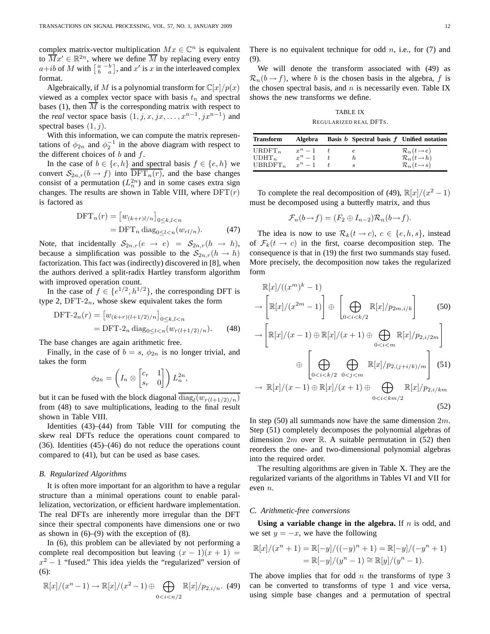complex matrix-vector multiplication  $Mx \in \mathbb{C}^n$  is equivalent to  $\overline{M}x' \in \mathbb{R}^{2n}$ , where we define  $\overline{M}$  by replacing every entry  $a+ib$  of M with  $\begin{bmatrix} a & -b \\ b & a \end{bmatrix}$ , and  $x'$  is x in the interleaved complex format.

Algebraically, if M is a polynomial transform for  $\mathbb{C}[x]/p(x)$ viewed as a complex vector space with basis  $t_n$  and spectral bases (1), then  $\overline{M}$  is the corresponding matrix with respect to the *real* vector space basis  $(1, j, x, jx, \dots, x^{n-1}, jx^{n-1})$  and spectral bases  $(1, j)$ .

With this information, we can compute the matrix representations of  $\phi_{2n}$  and  $\phi_2^{-1}$  in the above diagram with respect to the different choices of  $b$  and  $f$ .

In the case of  $b \in \{e, h\}$  and spectral basis  $f \in \{e, h\}$  we convert  $S_{2n,r}(b \to f)$  into  $\text{DFT}_n(r)$ , and the base changes consist of a permutation  $(L_n^{2n})$  and in some cases extra sign changes. The results are shown in Table VIII, where  $DFT(r)$ is factored as

$$
\begin{aligned} \text{DFT}_n(r) &= \left[ w_{(k+r)l/n} \right]_{0 \le k, l < n} \\ &= \text{DFT}_n \operatorname{diag}_{0 \le l < n} (w_{rl/n}). \end{aligned} \tag{47}
$$

Note, that incidentally  $S_{2n,r}(e \rightarrow e) = S_{2n,r}(h \rightarrow h)$ , because a simplification was possible to the  $S_{2n,r}(h \to h)$ factorization. This fact was (indirectly) discovered in [8], when the authors derived a split-radix Hartley transform algorithm with improved operation count.

In the case of  $f \in \{e^{1/2}, h^{1/2}\}\$ , the corresponding DFT is type 2, DFT- $2<sub>n</sub>$ , whose skew equivalent takes the form

$$
\begin{aligned} \text{DFT-2}_n(r) &= \left[ w_{(k+r)(l+1/2)/n} \right]_{0 \le k, l < n} \\ &= \text{DFT-2}_n \operatorname{diag}_{0 \le l < n} (w_{r(l+1/2)/n}). \end{aligned} \tag{48}
$$

The base changes are again arithmetic free.

Finally, in the case of  $b = s$ ,  $\phi_{2n}$  is no longer trivial, and takes the form

$$
\phi_{2n} = \left(I_n \otimes \begin{bmatrix} c_r & 1 \\ s_r & 0 \end{bmatrix}\right) L_n^{2n},
$$

but it can be fused with the block diagonal  $\text{diag}_l(w_{r(l+1/2)/n})$ from (48) to save multiplications, leading to the final result shown in Table VIII.

Identities (43)–(44) from Table VIII for computing the skew real DFTs reduce the operations count compared to (36). Identities (45)–(46) do not reduce the operations count compared to (41), but can be used as base cases.

# *B. Regularized Algorithms*

It is often more important for an algorithm to have a regular structure than a minimal operations count to enable parallelization, vectorization, or efficient hardware implementation. The real DFTs are inherently more irregular than the DFT since their spectral components have dimensions one or two as shown in  $(6)$ – $(9)$  with the exception of  $(8)$ .

In (6), this problem can be alleviated by not performing a complete real decomposition but leaving  $(x - 1)(x + 1) =$  $x^2 - 1$  "fused." This idea yields the "regularized" version of (6):

$$
\mathbb{R}[x]/(x^n - 1) \to \mathbb{R}[x]/(x^2 - 1) \oplus \bigoplus_{0 < i < n/2} \mathbb{R}[x]/p_{2, i/n}. \tag{49}
$$

There is no equivalent technique for odd  $n$ , i.e., for (7) and (9).

We will denote the transform associated with (49) as  $\mathcal{R}_n(b \to f)$ , where b is the chosen basis in the algebra, f is the chosen spectral basis, and  $n$  is necessarily even. Table IX shows the new transforms we define.

# TABLE IX

REGULARIZED REAL DFTS.

| <b>Transform</b> | <b>Algebra</b> | Basis <i>b</i> Spectral basis <i>f</i> Unified notation |                                 |
|------------------|----------------|---------------------------------------------------------|---------------------------------|
| $URDFT_n$        | $r^n-1$        |                                                         | $\mathcal{R}_n(t\rightarrow e)$ |
| $UDHT_n$         | $r^n-1$        |                                                         | $\mathcal{R}_n(t\rightarrow h)$ |
| $UBRDFT_n$       | $x^n-1$        |                                                         | $\mathcal{R}_n(t\rightarrow s)$ |

To complete the real decomposition of (49),  $\mathbb{R}[x]/(x^2 - 1)$ must be decomposed using a butterfly matrix, and thus

$$
\mathcal{F}_n(b \to f) = (F_2 \oplus I_{n-2}) \mathcal{R}_n(b \to f).
$$

The idea is now to use  $\mathcal{R}_k(t \to c)$ ,  $c \in \{e, h, s\}$ , instead of  $\mathcal{F}_k(t \to c)$  in the first, coarse decomposition step. The consequence is that in (19) the first two summands stay fused. More precisely, the decomposition now takes the regularized form

$$
\mathbb{R}[x]/((x^m)^k - 1)
$$
\n
$$
\rightarrow \left[\mathbb{R}[x]/(x^{2m} - 1)\right] \oplus \left[\bigoplus_{0 < i < k/2} \mathbb{R}[x]/p_{2m, i/k}\right] \tag{50}
$$
\n
$$
\rightarrow \left[\mathbb{R}[x]/(x - 1) \oplus \mathbb{R}[x]/(x + 1) \oplus \bigoplus_{0 < i < m} \mathbb{R}[x]/p_{2, i/2m}\right]
$$
\n
$$
\oplus \left[\bigoplus_{0 < i < k/2} \bigoplus_{0 < j < m} \mathbb{R}[x]/p_{2, (j+i/k)/m}\right] \tag{51}
$$
\n
$$
\rightarrow \mathbb{R}[x]/(x - 1) \oplus \mathbb{R}[x]/(x + 1) \oplus \bigoplus_{0 < i < km/2} \mathbb{R}[x]/p_{2, i/km} \tag{52}
$$

In step (50) all summands now have the same dimension  $2m$ . Step (51) completely decomposes the polynomial algebras of dimension  $2m$  over  $\mathbb R$ . A suitable permutation in (52) then reorders the one- and two-dimensional polynomial algebras into the required order.

The resulting algorithms are given in Table X. They are the regularized variants of the algorithms in Tables VI and VII for even n.

#### *C. Arithmetic-free conversions*

**Using a variable change in the algebra.** If  $n$  is odd, and we set  $y = -x$ , we have the following

$$
\mathbb{R}[x]/(x^n + 1) = \mathbb{R}[-y]/((-y)^n + 1) = \mathbb{R}[-y]/(-y^n + 1)
$$
  
=  $\mathbb{R}[-y]/(y^n - 1) \cong \mathbb{R}[y]/(y^n - 1).$ 

The above implies that for odd  $n$  the transforms of type 3 can be converted to transforms of type 1 and vice versa, using simple base changes and a permutation of spectral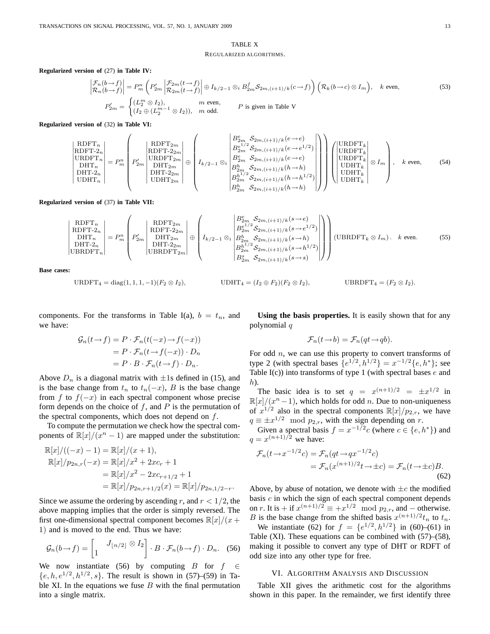# TABLE X

#### REGULARIZED ALGORITHMS.

**Regularized version of** (27) **in Table IV:**

$$
\begin{aligned}\n\left| \mathcal{F}_n(b \to f) \right| &= P_m^n \left( P_{2m}' \left| \mathcal{F}_{2m}'(t \to f) \right| \oplus I_{k/2-1} \otimes_i B_{2m}' \mathcal{S}_{2m,(i+1)/k}(c \to f) \right) \left( \mathcal{R}_k(b \to c) \otimes I_m \right), \quad k \text{ even}, \\
P_{2m}' &= \begin{cases}\n\left( L_2^m \otimes I_2 \right), & m \text{ even}, \\
\left( I_2 \oplus \left( L_2^{m-1} \otimes I_2 \right) \right), & m \text{ odd}.\n\end{cases}\n\end{aligned} \quad \text{P is given in Table V}\n\tag{53}
$$

**Regularized version of** (32) **in Table VI:**

$$
\begin{pmatrix}\nRDFT_{n} \\
RDFT_{-2n} \\
DHT_{n} \\
DHT_{n} \\
DHT_{n}\n\end{pmatrix} = P_{m}^{n} \begin{pmatrix}\nRDFT_{2m} \\
RDFT_{-2m} \\
P_{2m}^{\prime} \\
DHT_{2m} \\
DHT_{2m} \\
DHT_{2m}\n\end{pmatrix} \oplus \begin{pmatrix}\nB_{2m}^{e^{1/2}} S_{2m,(i+1)/k}(e \rightarrow e) \\
B_{2m}^{e^{1/2}} S_{2m,(i+1)/k}(e \rightarrow e^{1/2}) \\
B_{2m}^{e} S_{2m,(i+1)/k}(e \rightarrow e) \\
B_{2m}^{h} S_{2m,(i+1)/k}(h \rightarrow h) \\
B_{2m}^{h} S_{2m,(i+1)/k}(h \rightarrow h^{1/2})\n\end{pmatrix} \right) \begin{pmatrix}\n\text{URDFT}_k \\
\text{URDFT}_k \\
\text{URDFT}_k \\
\text{UBBFT}_k \\
\text{UDHT}_k \\
\text{UDHT}_k \\
\text{UDHT}_k\n\end{pmatrix}, \quad k \text{ even}, \tag{54}
$$

**Regularized version of** (37) **in Table VII:**

$$
\begin{vmatrix}\n\text{RDFT}_{n} \\
\text{RDFT}_{n} \\
\text{DHT}_{n} \\
\text{UBRDFT}_{n}\n\end{vmatrix} = P_{m}^{n} \begin{pmatrix}\n\text{RDFT}_{2m} \\
P_{2m}^{\prime} \\
\text{DHT}_{2m} \\
\text{DHT}_{2m} \\
\text{UBRDFT}_{2m}\n\end{pmatrix} \oplus \begin{pmatrix}\nB_{2m}^{e} S_{2m,(i+1)/k}(s \to e) \\
B_{2m}^{e^{1/2}} S_{2m,(i+1)/k}(s \to e^{1/2}) \\
B_{2m}^{h} S_{2m,(i+1)/k}(s \to h) \\
B_{2m}^{h^{1/2}} S_{2m,(i+1)/k}(s \to h^{1/2}) \\
B_{2m}^{h^{1/2}} S_{2m,(i+1)/k}(s \to h^{1/2})\n\end{pmatrix} (UBRDFT_{k} \otimes I_{m}). \quad k \text{ even.}
$$
\n(55)

**Base cases:**

$$
URDFT_4 = diag(1, 1, 1, -1)(F_2 \otimes I_2),
$$

components. For the transforms in Table I(a),  $b = t_n$ , and we have:

$$
\mathcal{G}_n(t \to f) = P \cdot \mathcal{F}_n(t(-x) \to f(-x))
$$

$$
= P \cdot \mathcal{F}_n(t \to f(-x)) \cdot D_n
$$

$$
= P \cdot B \cdot \mathcal{F}_n(t \to f) \cdot D_n.
$$

Above  $D_n$  is a diagonal matrix with  $\pm 1$ s defined in (15), and is the base change from  $t_n$  to  $t_n(-x)$ , B is the base change from f to  $f(-x)$  in each spectral component whose precise form depends on the choice of  $f$ , and  $P$  is the permutation of the spectral components, which does not depend on  $f$ .

To compute the permutation we check how the spectral components of  $\mathbb{R}[x]/(x^n - 1)$  are mapped under the substitution:

$$
\mathbb{R}[x]/((-x) - 1) = \mathbb{R}[x]/(x + 1),
$$
  
\n
$$
\mathbb{R}[x]/p_{2n,r}(-x) = \mathbb{R}[x]/x^2 + 2xc_r + 1
$$
  
\n
$$
= \mathbb{R}[x]/x^2 - 2xc_{r+1/2} + 1
$$
  
\n
$$
= \mathbb{R}[x]/p_{2n,r+1/2}(x) = \mathbb{R}[x]/p_{2n,1/2-r}.
$$

Since we assume the ordering by ascending r, and  $r < 1/2$ , the above mapping implies that the order is simply reversed. The first one-dimensional spectral component becomes  $\mathbb{R}[x]/(x +$ 1) and is moved to the end. Thus we have:

$$
\mathcal{G}_n(b \to f) = \begin{bmatrix} J_{\lfloor n/2 \rfloor} \otimes I_2 \\ 1 \end{bmatrix} \cdot B \cdot \mathcal{F}_n(b \to f) \cdot D_n. \quad (56)
$$

We now instantiate (56) by computing B for  $f \in$  $\{e, h, e^{1/2}, h^{1/2}, s\}$ . The result is shown in (57)–(59) in Table XI. In the equations we fuse  $B$  with the final permutation into a single matrix.

**Using the basis properties.** It is easily shown that for any polynomial q

UDHT<sub>4</sub> =  $(I_2 \oplus F_2)(F_2 \otimes I_2)$ , UBRDFT<sub>4</sub> =  $(F_2 \otimes I_2)$ .

$$
\mathcal{F}_n(t \to b) = \mathcal{F}_n(qt \to qb).
$$

For odd  $n$ , we can use this property to convert transforms of type 2 (with spectral bases  $\{e^{1/2}, h^{1/2}\} = x^{-1/2} \{e, h^*\}$ ; see Table  $I(c)$ ) into transforms of type 1 (with spectral bases  $e$  and  $h$ ).

The basic idea is to set  $q = x^{(n+1)/2} = \pm x^{1/2}$  in  $\mathbb{R}[x]/(x^n-1)$ , which holds for odd *n*. Due to non-uniqueness of  $x^{1/2}$  also in the spectral components  $\mathbb{R}[x]/p_{2,r}$ , we have  $q \equiv \pm x^{1/2} \mod p_{2,r}$ , with the sign depending on r.

Given a spectral basis  $f = x^{-1/2}c$  (where  $c \in \{e, h^*\}$ ) and  $q = x^{(n+1)/2}$  we have:

$$
\mathcal{F}_n(t \to x^{-1/2}c) = \mathcal{F}_n(qt \to qx^{-1/2}c)
$$

$$
= \mathcal{F}_n(x^{(n+1)/2}t \to \pm c) = \mathcal{F}_n(t \to \pm c)B.
$$
(62)

Above, by abuse of notation, we denote with  $\pm c$  the modified basis  $c$  in which the sign of each spectral component depends on r. It is + if  $x^{(n+1)/2} \equiv +x^{1/2} \mod p_{2,r}$ , and – otherwise. B is the base change from the shifted basis  $x^{(n+1)/2}t_n$  to  $t_n$ .

We instantiate (62) for  $f = \{e^{1/2}, h^{1/2}\}\$ in (60)–(61) in Table (XI). These equations can be combined with (57)–(58), making it possible to convert any type of DHT or RDFT of odd size into any other type for free.

#### VI. ALGORITHM ANALYSIS AND DISCUSSION

Table XII gives the arithmetic cost for the algorithms shown in this paper. In the remainder, we first identify three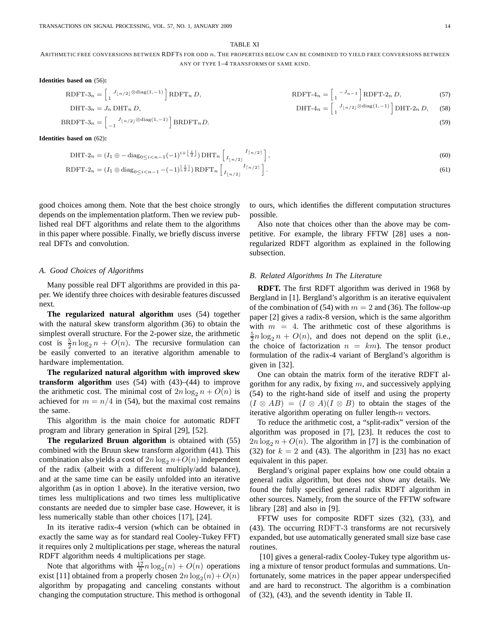## TABLE XI

**Identities based on** (56)**:**

RDFT-3<sub>n</sub> = 
$$
\begin{bmatrix} J_{\lfloor n/2 \rfloor} \otimes \text{diag}(1,-1) \end{bmatrix}
$$
 RDFT<sub>n</sub> D,  
\nDHT-3<sub>n</sub> =  $J_n$  DHT<sub>n</sub> D,  
\nBRDFT-3<sub>n</sub> =  $\begin{bmatrix} J_{\lfloor n/2 \rfloor} \otimes \text{diag}(1,-1) \end{bmatrix}$  BRDFT<sub>n</sub> D.  
\nDHT-4<sub>n</sub> =  $\begin{bmatrix} J_{\lfloor n/2 \rfloor} \otimes \text{diag}(1,-1) \end{bmatrix}$  DHT-2<sub>n</sub> D,  
\n(S9)

**Identities based on** (62)**:**

−1

$$
\text{DHT-2}_{n} = (I_1 \oplus -\text{diag}_{0 \le i < n-1}(-1)^{i + \left\lfloor \frac{i}{2} \right\rfloor}) \text{DHT}_{n} \begin{bmatrix} I_{\lceil n/2 \rceil} \\ I_{\lfloor n/2 \rfloor} \end{bmatrix},\tag{60}
$$
\n
$$
\text{RDET-2}_{n} = (I_1 \oplus \text{diag}_{0 \le i}, \ldots, (-1)^{\left\lfloor \frac{i}{2} \right\rfloor}) \text{RDEF}_{n} \begin{bmatrix} I_{\lceil n/2 \rceil} \\ \end{bmatrix},\tag{61}
$$

$$
R\text{DFT-2}n = (I_1 \oplus \text{diag}_{0 \le i < n-1} - (-1)^{\left\lfloor \frac{i}{2} \right\rfloor}) \text{RDF} \text{T}_n \left[ I_{\lfloor n/2 \rfloor} \right]. \tag{61}
$$

good choices among them. Note that the best choice strongly depends on the implementation platform. Then we review published real DFT algorithms and relate them to the algorithms in this paper where possible. Finally, we briefly discuss inverse real DFTs and convolution.

#### *A. Good Choices of Algorithms*

Many possible real DFT algorithms are provided in this paper. We identify three choices with desirable features discussed next.

**The regularized natural algorithm** uses (54) together with the natural skew transform algorithm (36) to obtain the simplest overall structure. For the 2-power size, the arithmetic cost is  $\frac{5}{2}n \log_2 n + O(n)$ . The recursive formulation can be easily converted to an iterative algorithm amenable to hardware implementation.

**The regularized natural algorithm with improved skew transform algorithm** uses (54) with (43)–(44) to improve the arithmetic cost. The minimal cost of  $2n \log_2 n + O(n)$  is achieved for  $m = n/4$  in (54), but the maximal cost remains the same.

This algorithm is the main choice for automatic RDFT program and library generation in Spiral [29], [52].

**The regularized Bruun algorithm** is obtained with (55) combined with the Bruun skew transform algorithm (41). This combination also yields a cost of  $2n \log_2 n+O(n)$  independent of the radix (albeit with a different multiply/add balance), and at the same time can be easily unfolded into an iterative algorithm (as in option 1 above). In the iterative version, two times less multiplications and two times less multiplicative constants are needed due to simpler base case. However, it is less numerically stable than other choices [17], [24].

In its iterative radix-4 version (which can be obtained in exactly the same way as for standard real Cooley-Tukey FFT) it requires only 2 multiplications per stage, whereas the natural RDFT algorithm needs 4 multiplications per stage.

Note that algorithms with  $\frac{17}{9}n \log_2(n) + O(n)$  operations exist [11] obtained from a properly chosen  $2n \log_2(n) + O(n)$ algorithm by propagating and canceling constants without changing the computation structure. This method is orthogonal to ours, which identifies the different computation structures possible.

Also note that choices other than the above may be competitive. For example, the library FFTW [28] uses a nonregularized RDFT algorithm as explained in the following subsection.

#### *B. Related Algorithms In The Literature*

**RDFT.** The first RDFT algorithm was derived in 1968 by Bergland in [1]. Bergland's algorithm is an iterative equivalent of the combination of (54) with  $m = 2$  and (36). The follow-up paper [2] gives a radix-8 version, which is the same algorithm with  $m = 4$ . The arithmetic cost of these algorithms is  $\frac{5}{2}n \log_2 n + O(n)$ , and does not depend on the split (i.e., the choice of factorization  $n = km$ ). The tensor product formulation of the radix-4 variant of Bergland's algorithm is given in [32].

One can obtain the matrix form of the iterative RDFT algorithm for any radix, by fixing  $m$ , and successively applying (54) to the right-hand side of itself and using the property  $(I \otimes AB) = (I \otimes A)(I \otimes B)$  to obtain the stages of the iterative algorithm operating on fuller length- $n$  vectors.

To reduce the arithmetic cost, a "split-radix" version of the algorithm was proposed in [7], [23]. It reduces the cost to  $2n \log_2 n + O(n)$ . The algorithm in [7] is the combination of (32) for  $k = 2$  and (43). The algorithm in [23] has no exact equivalent in this paper.

Bergland's original paper explains how one could obtain a general radix algorithm, but does not show any details. We found the fully specified general radix RDFT algorithm in other sources. Namely, from the source of the FFTW software library [28] and also in [9].

FFTW uses for composite RDFT sizes (32), (33), and (43). The occurring RDFT-3 transforms are not recursively expanded, but use automatically generated small size base case routines.

[10] gives a general-radix Cooley-Tukey type algorithm using a mixture of tensor product formulas and summations. Unfortunately, some matrices in the paper appear underspecified and are hard to reconstruct. The algorithm is a combination of (32), (43), and the seventh identity in Table II.

 $(57)$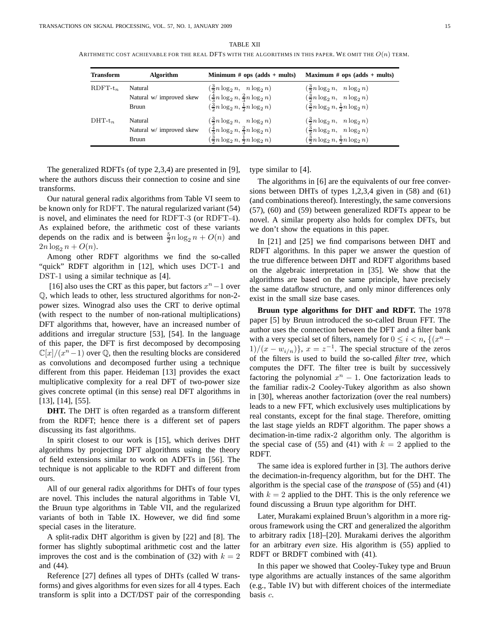TABLE XII ARITHMETIC COST ACHIEVABLE FOR THE REAL DFTS WITH THE ALGORITHMS IN THIS PAPER. WE OMIT THE  $O(n)$  TERM.

| <b>Transform</b> | <b>Algorithm</b>         | Minimum $#$ ops (adds $+$ mults)                         | Maximum $#$ ops (adds + mults)                           |
|------------------|--------------------------|----------------------------------------------------------|----------------------------------------------------------|
| $R$ DFT- $t_n$   | Natural                  | $\left(\frac{3}{2}n\log_2 n, n\log_2 n\right)$           | $\left(\frac{3}{2}n\log_2 n, n\log_2 n\right)$           |
|                  | Natural w/ improved skew | $(\frac{4}{3}n \log_2 n, \frac{2}{3}n \log_2 n)$         | $\left(\frac{3}{2}n\log_2 n, n\log_2 n\right)$           |
|                  | Bruun                    | $(\frac{3}{2}n \log_2 n, \frac{1}{2}n \log_2 n)$         | $(\frac{3}{2}n \log_2 n, \frac{1}{2}n \log_2 n)$         |
| $\text{DHT-}t_n$ | Natural                  | $\left(\frac{3}{2}n\log_2 n, n\log_2 n\right)$           | $\left(\frac{3}{2}n\log_2 n, n\log_2 n\right)$           |
|                  | Natural w/ improved skew | $(\frac{4}{3}n \log_2 n, \frac{2}{3}n \log_2 n)$         | $\left(\frac{3}{2}n\log_2 n, \quad n\log_2 n\right)$     |
|                  | Bruun                    | $\left(\frac{3}{2}n\log_2 n,\frac{1}{2}n\log_2 n\right)$ | $\left(\frac{3}{2}n\log_2 n,\frac{1}{2}n\log_2 n\right)$ |

The generalized RDFTs (of type 2,3,4) are presented in [9], where the authors discuss their connection to cosine and sine transforms.

Our natural general radix algorithms from Table VI seem to be known only for RDFT. The natural regularized variant (54) is novel, and eliminates the need for RDFT-3 (or RDFT-4). As explained before, the arithmetic cost of these variants depends on the radix and is between  $\frac{5}{2}n \log_2 n + O(n)$  and  $2n \log_2 n + O(n)$ .

Among other RDFT algorithms we find the so-called "quick" RDFT algorithm in [12], which uses DCT-1 and DST-1 using a similar technique as [4].

[16] also uses the CRT as this paper, but factors  $x^n - 1$  over Q, which leads to other, less structured algorithms for non-2 power sizes. Winograd also uses the CRT to derive optimal (with respect to the number of non-rational multiplications) DFT algorithms that, however, have an increased number of additions and irregular structure [53], [54]. In the language of this paper, the DFT is first decomposed by decomposing  $\mathbb{C}[x]/(x^n-1)$  over  $\mathbb Q$ , then the resulting blocks are considered as convolutions and decomposed further using a technique different from this paper. Heideman [13] provides the exact multiplicative complexity for a real DFT of two-power size gives concrete optimal (in this sense) real DFT algorithms in [13], [14], [55].

**DHT.** The DHT is often regarded as a transform different from the RDFT; hence there is a different set of papers discussing its fast algorithms.

In spirit closest to our work is [15], which derives DHT algorithms by projecting DFT algorithms using the theory of field extensions similar to work on ADFTs in [56]. The technique is not applicable to the RDFT and different from ours.

All of our general radix algorithms for DHTs of four types are novel. This includes the natural algorithms in Table VI, the Bruun type algorithms in Table VII, and the regularized variants of both in Table IX. However, we did find some special cases in the literature.

A split-radix DHT algorithm is given by [22] and [8]. The former has slightly suboptimal arithmetic cost and the latter improves the cost and is the combination of (32) with  $k = 2$ and (44).

Reference [27] defines all types of DHTs (called W transforms) and gives algorithms for even sizes for all 4 types. Each transform is split into a DCT/DST pair of the corresponding type similar to [4].

The algorithms in [6] are the equivalents of our free conversions between DHTs of types 1,2,3,4 given in (58) and (61) (and combinations thereof). Interestingly, the same conversions (57), (60) and (59) between generalized RDFTs appear to be novel. A similar property also holds for complex DFTs, but we don't show the equations in this paper.

In [21] and [25] we find comparisons between DHT and RDFT algorithms. In this paper we answer the question of the true difference between DHT and RDFT algorithms based on the algebraic interpretation in [35]. We show that the algorithms are based on the same principle, have precisely the same dataflow structure, and only minor differences only exist in the small size base cases.

**Bruun type algorithms for DHT and RDFT.** The 1978 paper [5] by Bruun introduced the so-called Bruun FFT. The author uses the connection between the DFT and a filter bank with a very special set of filters, namely for  $0 \le i < n$ ,  $\{(x^n 1)/(x-w_{i/n})\}, x=z^{-1}$ . The special structure of the zeros of the filters is used to build the so-called *filter tree*, which computes the DFT. The filter tree is built by successively factoring the polynomial  $x^n - 1$ . One factorization leads to the familiar radix-2 Cooley-Tukey algorithm as also shown in [30], whereas another factorization (over the real numbers) leads to a new FFT, which exclusively uses multiplications by real constants, except for the final stage. Therefore, omitting the last stage yields an RDFT algorithm. The paper shows a decimation-in-time radix-2 algorithm only. The algorithm is the special case of (55) and (41) with  $k = 2$  applied to the RDFT.

The same idea is explored further in [3]. The authors derive the decimation-in-frequency algorithm, but for the DHT. The algorithm is the special case of the *transpose* of (55) and (41) with  $k = 2$  applied to the DHT. This is the only reference we found discussing a Bruun type algorithm for DHT.

Later, Murakami explained Bruun's algorithm in a more rigorous framework using the CRT and generalized the algorithm to arbitrary radix [18]–[20]. Murakami derives the algorithm for an arbitrary *even* size. His algorithm is (55) applied to RDFT or BRDFT combined with (41).

In this paper we showed that Cooley-Tukey type and Bruun type algorithms are actually instances of the same algorithm (e.g., Table IV) but with different choices of the intermediate basis c.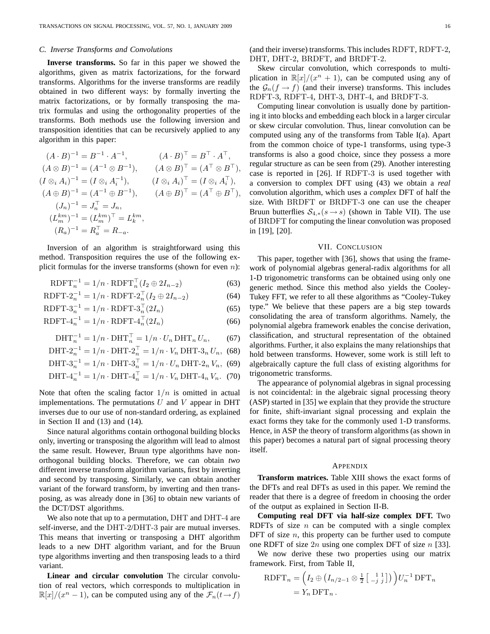#### *C. Inverse Transforms and Convolutions*

**Inverse transforms.** So far in this paper we showed the algorithms, given as matrix factorizations, for the forward transforms. Algorithms for the inverse transforms are readily obtained in two different ways: by formally inverting the matrix factorizations, or by formally transposing the matrix formulas and using the orthogonality properties of the transforms. Both methods use the following inversion and transposition identities that can be recursively applied to any algorithm in this paper:

$$
(A \cdot B)^{-1} = B^{-1} \cdot A^{-1}, \qquad (A \cdot B)^{\top} = B^{\top} \cdot A^{\top},
$$
  
\n
$$
(A \otimes B)^{-1} = (A^{-1} \otimes B^{-1}), \qquad (A \otimes B)^{\top} = (A^{\top} \otimes B^{\top}),
$$
  
\n
$$
(I \otimes_i A_i)^{-1} = (I \otimes_i A_i^{-1}), \qquad (I \otimes_i A_i)^{\top} = (I \otimes_i A_i^{\top}),
$$
  
\n
$$
(A \oplus B)^{-1} = (A^{-1} \oplus B^{-1}), \qquad (A \oplus B)^{\top} = (A^{\top} \oplus B^{\top}),
$$
  
\n
$$
(J_n)^{-1} = J_n^{\top} = J_n,
$$
  
\n
$$
(L_m^{km})^{-1} = (L_m^{km})^{\top} = L_k^{km},
$$
  
\n
$$
(R_a)^{-1} = R_a^{\top} = R_{-a}.
$$

Inversion of an algorithm is straightforward using this method. Transposition requires the use of the following explicit formulas for the inverse transforms (shown for even  $n$ ):

$$
R\text{DFT}_n^{-1} = 1/n \cdot R\text{DFT}_n^{\top} (I_2 \oplus 2I_{n-2}) \tag{63}
$$

RDFT-2<sub>n</sub><sup>-1</sup> = 1/n \cdot RDFT-2<sub>n</sub><sup>T</sup>(I<sub>2</sub> 
$$
\oplus
$$
 2I<sub>n-2</sub>) (64)

$$
R\text{DFT-3}_n^{-1} = 1/n \cdot R\text{DFT-3}_n^{-1}(2I_n) \tag{65}
$$

$$
R\text{DFT-}4_n^{-1} = 1/n \cdot R\text{DFT-}4_n^\top (2I_n) \tag{66}
$$

$$
\text{DHT}_n^{-1} = 1/n \cdot \text{DHT}_n^{\top} = 1/n \cdot U_n \text{DHT}_n U_n,\tag{67}
$$

$$
DHT - 2n-1 = 1/n \cdot DHT - 2nT = 1/n \cdot Vn DHT - 3n Un, (68)
$$

$$
DHT - 3n-1 = 1/n \cdot DHT - 3nT = 1/n \cdot Un DHT - 2n Vn, (69)
$$

$$
DHT - 4n-1 = 1/n \cdot DHT - 4nT = 1/n \cdot Vn DHT - 4n Vn. (70)
$$

Note that often the scaling factor  $1/n$  is omitted in actual implementations. The permutations  $U$  and  $V$  appear in DHT inverses due to our use of non-standard ordering, as explained in Section II and (13) and (14).

Since natural algorithms contain orthogonal building blocks only, inverting or transposing the algorithm will lead to almost the same result. However, Bruun type algorithms have nonorthogonal building blocks. Therefore, we can obtain *two* different inverse transform algorithm variants, first by inverting and second by transposing. Similarly, we can obtain another variant of the forward transform, by inverting and then transposing, as was already done in [36] to obtain new variants of the DCT/DST algorithms.

We also note that up to a permutation, DHT and DHT-4 are self-inverse, and the DHT-2/DHT-3 pair are mutual inverses. This means that inverting or transposing a DHT algorithm leads to a new DHT algorithm variant, and for the Bruun type algorithms inverting and then transposing leads to a third variant.

**Linear and circular convolution** The circular convolution of real vectors, which corresponds to multiplication in  $\mathbb{R}[x]/(x^n - 1)$ , can be computed using any of the  $\mathcal{F}_n(t \to f)$  (and their inverse) transforms. This includes RDFT, RDFT-2, DHT, DHT-2, BRDFT, and BRDFT-2.

Skew circular convolution, which corresponds to multiplication in  $\mathbb{R}[x]/(x^n + 1)$ , can be computed using any of the  $\mathcal{G}_n(f \to f)$  (and their inverse) transforms. This includes RDFT-3, RDFT-4, DHT-3, DHT-4, and BRDFT-3.

Computing linear convolution is usually done by partitioning it into blocks and embedding each block in a larger circular or skew circular convolution. Thus, linear convolution can be computed using any of the transforms from Table I(a). Apart from the common choice of type-1 transforms, using type-3 transforms is also a good choice, since they possess a more regular structure as can be seen from (29). Another interesting case is reported in [26]. If RDFT-3 is used together with a conversion to complex DFT using (43) we obtain a *real* convolution algorithm, which uses a *complex* DFT of half the size. With BRDFT or BRDFT-3 one can use the cheaper Bruun butterflies  $S_{4,*}(s \rightarrow s)$  (shown in Table VII). The use of BRDFT for computing the linear convolution was proposed in [19], [20].

# VII. CONCLUSION

This paper, together with [36], shows that using the framework of polynomial algebras general-radix algorithms for all 1-D trigonometric transforms can be obtained using only one generic method. Since this method also yields the Cooley-Tukey FFT, we refer to all these algorithms as "Cooley-Tukey type." We believe that these papers are a big step towards consolidating the area of transform algorithms. Namely, the polynomial algebra framework enables the concise derivation, classification, and structural representation of the obtained algorithms. Further, it also explains the many relationships that hold between transforms. However, some work is still left to algebraically capture the full class of existing algorithms for trigonometric transforms.

The appearance of polynomial algebras in signal processing is not coincidental: in the algebraic signal processing theory (ASP) started in [35] we explain that they provide the structure for finite, shift-invariant signal processing and explain the exact forms they take for the commonly used 1-D transforms. Hence, in ASP the theory of transform algorithms (as shown in this paper) becomes a natural part of signal processing theory itself.

# **APPENDIX**

**Transform matrices.** Table XIII shows the exact forms of the DFTs and real DFTs as used in this paper. We remind the reader that there is a degree of freedom in choosing the order of the output as explained in Section II-B.

**Computing real DFT via half-size complex DFT.** Two RDFTs of size  $n$  can be computed with a single complex DFT of size  $n$ , this property can be further used to compute one RDFT of size  $2n$  using one complex DFT of size n [33].

We now derive these two properties using our matrix framework. First, from Table II,

$$
R\text{DFT}_n = \left(I_2 \oplus \left(I_{n/2-1} \otimes \frac{1}{2} \begin{bmatrix} 1 & 1 \\ -j & j \end{bmatrix}\right)\right) U_n^{-1} \text{DFT}_n
$$
  
=  $Y_n \text{DFT}_n$ .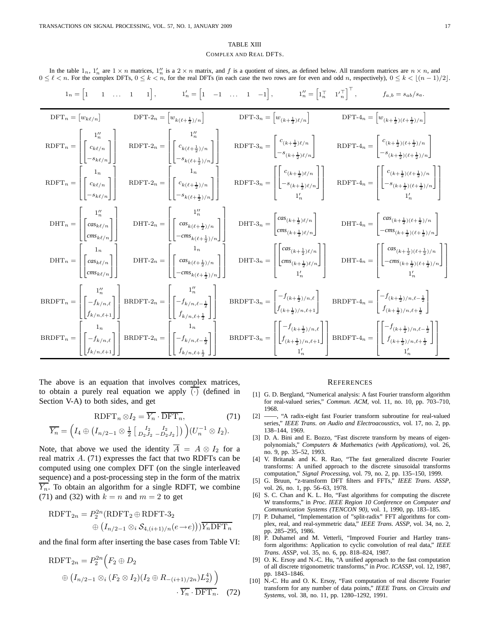# TABLE XIII

#### COMPLEX AND REAL DFTS.

In the table  $1_n$ ,  $1'_n$  are  $1 \times n$  matrices,  $1''_n$  is a  $2 \times n$  matrix, and f is a quotient of sines, as defined below. All transform matrices are  $n \times n$ , and  $0 \leq \ell < n$ . For the complex DFTs,  $0 \leq k < n$ , for the real DFTs (in each case the two rows are for even and odd n, respectively),  $0 \leq k < \lfloor (n-1)/2 \rfloor$ .

 $\mathbf{I}$ 

handle **h** 

$$
1_{n} = \begin{bmatrix} 1 & 1 & \dots & 1 & 1 \end{bmatrix}, \qquad 1'_{n} = \begin{bmatrix} 1 & -1 & \dots & 1 & -1 \end{bmatrix}, \qquad 1''_{n} = \begin{bmatrix} 1_{n}^{\top} & 1'_{n}^{\top} \end{bmatrix}^{\top}, \qquad f_{a,b} = s_{ab}/s_{a}.
$$
  
\n
$$
\text{DFT}_{n} = \begin{bmatrix} 1''_{n} \\ \cos(k/n) \\ \cos(k/n) \end{bmatrix} \qquad \text{DFT-2}_{n} = \begin{bmatrix} 1''_{n} \\ \cos(k + \frac{1}{2})/n \\ \cos(k + \frac{1}{2})/n \end{bmatrix}
$$
  
\n
$$
\text{RDFT}_{n} = \begin{bmatrix} 1''_{n} \\ \cos(k/n) \\ \cos(k/n) \\ \cos(k/n) \end{bmatrix} \qquad \text{RDFT-2}_{n} = \begin{bmatrix} 1''_{n} \\ \cos(k + \frac{1}{2})/n \\ \cos(k + \frac{1}{2})/n \end{bmatrix}
$$
  
\n
$$
\text{RDFT}_{n} = \begin{bmatrix} 1_{n} \\ \cos(k/n) \\ \cos(k/n) \\ \cos(k/n) \end{bmatrix} \qquad \text{RDFT-2}_{n} = \begin{bmatrix} 1_{n} \\ \cos(k + \frac{1}{2})/n \\ \cos(k + \frac{1}{2})/n \end{bmatrix}
$$
  
\n
$$
\text{RDFT-3}_{n} = \begin{bmatrix} c_{k+1} \\ \cos(k + \frac{1}{2})/n \\ \cos(k + \frac{1}{2})/n \end{bmatrix}
$$
  
\n
$$
\text{DHT}_{n} = \begin{bmatrix} 1''_{n} \\ \cos(k/n) \\ \cos(k/n) \\ \cos(k/n) \end{bmatrix} \qquad \text{DHT-2}_{n} = \begin{bmatrix} 1''_{n} \\ \cos(k + \frac{1}{2})/n \\ \cos(k + \frac{1}{2})/n \end{bmatrix}
$$
  
\n
$$
\text{DHT}_{n} = \begin{bmatrix} 1''_{n} \\ \cos(k + \frac{1}{2})/n \\ \cos(k + \frac{1}{2})/n \end{bmatrix}
$$
  
\n
$$
\text{DHT}_{n} = \begin{bmatrix} 1''_{n} \\ \cos(k + \frac{
$$

The above is an equation that involves complex matrices, to obtain a purely real equation we apply (·) (defined in Section V-A) to both sides, and get

$$
R\text{DFT}_n \otimes I_2 = \overline{Y_n} \cdot \overline{\text{DFT}_n},\tag{71}
$$

$$
\overline{Y_n} = \left(I_4 \oplus \left(I_{n/2-1} \otimes \frac{1}{2} \begin{bmatrix} I_2 & I_2 \ I_2 J_2 & -D_2 J_2 \end{bmatrix}\right)\right) (U_n^{-1} \otimes I_2).
$$

Note, that above we used the identity  $\overline{A} = A \otimes I_2$  for a real matrix A. (71) expresses the fact that two RDFTs can be computed using one complex DFT (on the single interleaved sequence) and a post-processing step in the form of the matrix  $Y_n$ . To obtain an algorithm for a single RDFT, we combine (71) and (32) with  $k = n$  and  $m = 2$  to get

$$
RDFT_{2n} = P_2^{2n}(RDFT_2 \oplus RDFT-3_2
$$
  

$$
\oplus (I_{n/2-1} \otimes_i S_{4,(i+1)/n}(e \to e)))\overline{Y_n DFT_n}
$$

and the final form after inserting the base cases from Table VI:

$$
R\text{DFT}_{2n} = P_2^{2n} \Big( F_2 \oplus D_2
$$
  
\n
$$
\oplus \left( I_{n/2-1} \otimes_i (F_2 \otimes I_2) (I_2 \oplus R_{-(i+1)/2n}) L_2^4 \right) \Big) \cdot \overline{Y_n} \cdot \overline{\text{DFT}_n}. \tag{72}
$$

#### **REFERENCES**

- [1] G. D. Bergland, "Numerical analysis: A fast Fourier transform algorithm for real-valued series," *Commun. ACM*, vol. 11, no. 10, pp. 703–710, 1968.
- [2] ——, "A radix-eight fast Fourier transform subroutine for real-valued series," *IEEE Trans. on Audio and Electroacoustics*, vol. 17, no. 2, pp. 138–144, 1969.
- [3] D. A. Bini and E. Bozzo, "Fast discrete transform by means of eigenpolynomials," *Computers & Mathematics (with Applications)*, vol. 26, no. 9, pp. 35–52, 1993.
- [4] V. Britanak and K. R. Rao, "The fast generalized discrete Fourier transforms: A unified approach to the discrete sinusoidal transforms computation," *Signal Processing*, vol. 79, no. 2, pp. 135–150, 1999.
- [5] G. Bruun, "z-transform DFT filters and FFTs," *IEEE Trans. ASSP*, vol. 26, no. 1, pp. 56–63, 1978.
- [6] S. C. Chan and K. L. Ho, "Fast algorithms for computing the discrete W transforms," in *Proc. IEEE Region 10 Conference on Computer and Communication Systems (TENCON 90)*, vol. 1, 1990, pp. 183–185.
- [7] P. Duhamel, "Implementation of "split-radix" FFT algorithms for complex, real, and real-symmetric data," *IEEE Trans. ASSP*, vol. 34, no. 2, pp. 285–295, 1986.
- [8] P. Duhamel and M. Vetterli, "Improved Fourier and Hartley transform algorithms: Application to cyclic convolution of real data," *IEEE Trans. ASSP*, vol. 35, no. 6, pp. 818–824, 1987.
- [9] O. K. Ersoy and N.-C. Hu, "A unified approach to the fast computation of all discrete trigonometric transforms," in *Proc. ICASSP*, vol. 12, 1987, pp. 1843–1846.
- [10] N.-C. Hu and O. K. Ersoy, "Fast computation of real discrete Fourier transform for any number of data points," *IEEE Trans. on Circuits and Systems*, vol. 38, no. 11, pp. 1280–1292, 1991.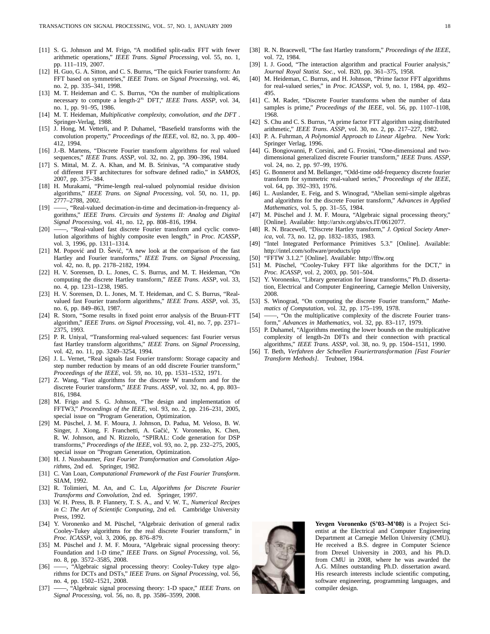- [11] S. G. Johnson and M. Frigo, "A modified split-radix FFT with fewer arithmetic operations," *IEEE Trans. Signal Processing*, vol. 55, no. 1, pp. 111–119, 2007.
- [12] H. Guo, G. A. Sitton, and C. S. Burrus, "The quick Fourier transform: An FFT based on symmetries," *IEEE Trans. on Signal Processing*, vol. 46, no. 2, pp. 335–341, 1998.
- [13] M. T. Heideman and C. S. Burrus, "On the number of multiplications necessary to compute a length-2<sup>n</sup> DFT," *IEEE Trans. ASSP*, vol. 34, no. 1, pp. 91–95, 1986.
- [14] M. T. Heideman, *Multiplicative complexity, convolution, and the DFT* . Springer-Verlag, 1988.
- [15] J. Hong, M. Vetterli, and P. Duhamel, "Basefield transforms with the convolution property," *Proceedings of the IEEE*, vol. 82, no. 3, pp. 400– 412, 1994.
- [16] J.-B. Martens, "Discrete Fourier transform algorithms for real valued sequences," *IEEE Trans. ASSP*, vol. 32, no. 2, pp. 390–396, 1984.
- [17] S. Mittal, M. Z. A. Khan, and M. B. Srinivas, "A comparative study of different FFT architectures for software defined radio," in *SAMOS*, 2007, pp. 375–384.
- [18] H. Murakami, "Prime-length real-valued polynomial residue division algorithms," *IEEE Trans. on Signal Processing*, vol. 50, no. 11, pp. 2777–2788, 2002.
- [19] -, "Real-valued decimation-in-time and decimation-in-frequency algorithms," *IEEE Trans. Circuits and Systems II: Analog and Digital Signal Processing*, vol. 41, no. 12, pp. 808–816, 1994.
- [20] ——, "Real-valued fast discrete Fourier transform and cyclic convolution algorithms of highly composite even length," in *Proc. ICASSP*, vol. 3, 1996, pp. 1311–1314.
- [21] M. Popović and D. Šević, "A new look at the comparison of the fast Hartley and Fourier transforms," *IEEE Trans. on Signal Processing*, vol. 42, no. 8, pp. 2178–2182, 1994.
- [22] H. V. Sorensen, D. L. Jones, C. S. Burrus, and M. T. Heideman, "On computing the discrete Hartley transform," *IEEE Trans. ASSP*, vol. 33, no. 4, pp. 1231–1238, 1985.
- [23] H. V. Sorensen, D. L. Jones, M. T. Heideman, and C. S. Burrus, "Realvalued fast Fourier transform algorithms," *IEEE Trans. ASSP*, vol. 35, no. 6, pp. 849–863, 1987.
- [24] R. Storn, "Some results in fixed point error analysis of the Bruun-FTT algorithm," *IEEE Trans. on Signal Processing*, vol. 41, no. 7, pp. 2371– 2375, 1993.
- [25] P. R. Uniyal, "Transforming real-valued sequences: fast Fourier versus fast Hartley transform algorithms," *IEEE Trans. on Signal Processing*, vol. 42, no. 11, pp. 3249–3254, 1994.
- [26] J. L. Vernet, "Real signals fast Fourier transform: Storage capacity and step number reduction by means of an odd discrete Fourier transform," *Proceedings of the IEEE*, vol. 59, no. 10, pp. 1531–1532, 1971.
- [27] Z. Wang, "Fast algorithms for the discrete W transform and for the discrete Fourier transform," *IEEE Trans. ASSP*, vol. 32, no. 4, pp. 803– 816, 1984.
- [28] M. Frigo and S. G. Johnson, "The design and implementation of FFTW3," *Proceedings of the IEEE*, vol. 93, no. 2, pp. 216–231, 2005, special issue on "Program Generation, Optimization.
- [29] M. Püschel, J. M. F. Moura, J. Johnson, D. Padua, M. Veloso, B. W. Singer, J. Xiong, F. Franchetti, A. Gačić, Y. Voronenko, K. Chen, R. W. Johnson, and N. Rizzolo, "SPIRAL: Code generation for DSP transforms," *Proceedings of the IEEE*, vol. 93, no. 2, pp. 232–275, 2005, special issue on "Program Generation, Optimization.
- [30] H. J. Nussbaumer, *Fast Fourier Transformation and Convolution Algorithms*, 2nd ed. Springer, 1982.
- [31] C. Van Loan, *Computational Framework of the Fast Fourier Transform*. SIAM, 1992.
- [32] R. Tolimieri, M. An, and C. Lu, *Algorithms for Discrete Fourier Transforms and Convolution*, 2nd ed. Springer, 1997.
- [33] W. H. Press, B. P. Flannery, T. S. A., and V. W. T., *Numerical Recipes in C: The Art of Scientific Computing*, 2nd ed. Cambridge University Press, 1992.
- [34] Y. Voronenko and M. Püschel, "Algebraic derivation of general radix Cooley-Tukey algorithms for the real discrete Fourier transform," in *Proc. ICASSP*, vol. 3, 2006, pp. 876–879.
- [35] M. Püschel and J. M. F. Moura, "Algebraic signal processing theory: Foundation and 1-D time," *IEEE Trans. on Signal Processing*, vol. 56, no. 8, pp. 3572–3585, 2008.
- [36] -, "Algebraic signal processing theory: Cooley-Tukey type algorithms for DCTs and DSTs," *IEEE Trans. on Signal Processing*, vol. 56, no. 4, pp. 1502–1521, 2008.
- [37] ——, "Algebraic signal processing theory: 1-D space," *IEEE Trans. on Signal Processing*, vol. 56, no. 8, pp. 3586–3599, 2008.
- [38] R. N. Bracewell, "The fast Hartley transform," *Proceedings of the IEEE*, vol. 72, 1984.
- [39] I. J. Good, "The interaction algorithm and practical Fourier analysis," *Journal Royal Statist. Soc.*, vol. B20, pp. 361–375, 1958.
- [40] M. Heideman, C. Burrus, and H. Johnson, "Prime factor FFT algorithms for real-valued series," in *Proc. ICASSP*, vol. 9, no. 1, 1984, pp. 492– 495.
- [41] C. M. Rader, "Discrete Fourier transforms when the number of data samples is prime," *Proceedings of the IEEE*, vol. 56, pp. 1107–1108, 1968.
- [42] S. Chu and C. S. Burrus, "A prime factor FTT algorithm using distributed arithmetic," *IEEE Trans. ASSP*, vol. 30, no. 2, pp. 217–227, 1982.
- [43] P. A. Fuhrman, *A Polynomial Approach to Linear Algebra*. New York: Springer Verlag, 1996.
- [44] G. Bongiovanni, P. Corsini, and G. Frosini, "One-dimensional and twodimensional generalized discrete Fourier transform," *IEEE Trans. ASSP*, vol. 24, no. 2, pp. 97–99, 1976.
- [45] G. Bonnerot and M. Bellanger, "Odd-time odd-frequency discrete fourier transform for symmetric real-valued series," *Proceedings of the IEEE*, vol. 64, pp. 392–393, 1976.
- [46] L. Auslander, E. Feig, and S. Winograd, "Abelian semi-simple algebras and algorithms for the discrete Fourier transform," *Advances in Applied Mathematics*, vol. 5, pp. 31–55, 1984.
- [47] M. Püschel and J. M. F. Moura, "Algebraic signal processing theory," [Online]. Available: http://arxiv.org/abs/cs.IT/0612077.
- [48] R. N. Bracewell, "Discrete Hartley transform," *J. Optical Society America*, vol. 73, no. 12, pp. 1832–1835, 1983.
- [49] "Intel Integrated Performance Primitives 5.3." [Online]. Available: http://intel.com/software/products/ipp
- [50] "FFTW 3.1.2." [Online]. Available: http://fftw.org
- [51] M. Püschel, "Cooley-Tukey FFT like algorithms for the DCT," in *Proc. ICASSP*, vol. 2, 2003, pp. 501–504.
- [52] Y. Voronenko, "Library generation for linear transforms," Ph.D. dissertation, Electrical and Computer Engineering, Carnegie Mellon University, 2008.
- [53] S. Winograd, "On computing the discrete Fourier transform," *Mathematics of Computation*, vol. 32, pp. 175–199, 1978.
- [54] -, "On the multiplicative complexity of the discrete Fourier transform," *Advances in Mathematics*, vol. 32, pp. 83–117, 1979.
- [55] P. Duhamel, "Algorithms meeting the lower bounds on the multiplicative complexity of length-2n DFTs and their connection with practical algorithms," *IEEE Trans. ASSP*, vol. 38, no. 9, pp. 1504–1511, 1990.
- [56] T. Beth, *Verfahren der Schnellen Fouriertransformation [Fast Fourier Transform Methods]*. Teubner, 1984.



**Yevgen Voronenko (S'03–M'08)** is a Project Scientist at the Electrical and Computer Engineering Department at Carnegie Mellon University (CMU). He received a B.S. degree in Computer Science from Drexel University in 2003, and his Ph.D. from CMU in 2008, where he was awarded the A.G. Milnes outstanding Ph.D. dissertation award. His research interests include scientific computing, software engineering, programming languages, and compiler design.